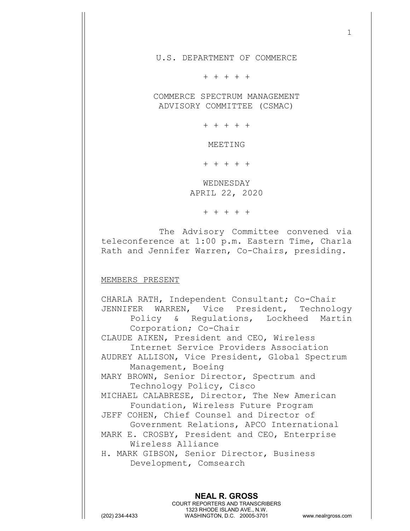U.S. DEPARTMENT OF COMMERCE

+ + + + +

COMMERCE SPECTRUM MANAGEMENT ADVISORY COMMITTEE (CSMAC)

+ + + + +

MEETING

+ + + + +

WEDNESDAY APRIL 22, 2020

+ + + + +

The Advisory Committee convened via teleconference at 1:00 p.m. Eastern Time, Charla Rath and Jennifer Warren, Co-Chairs, presiding.

## MEMBERS PRESENT

**NEAL R. GROSS** CHARLA RATH, Independent Consultant; Co-Chair JENNIFER WARREN, Vice President, Technology<br>Policy & Requlations, Lockheed Martin & Regulations, Lockheed Martin Corporation; Co-Chair CLAUDE AIKEN, President and CEO, Wireless Internet Service Providers Association AUDREY ALLISON, Vice President, Global Spectrum Management, Boeing MARY BROWN, Senior Director, Spectrum and Technology Policy, Cisco MICHAEL CALABRESE, Director, The New American Foundation, Wireless Future Program JEFF COHEN, Chief Counsel and Director of Government Relations, APCO International MARK E. CROSBY, President and CEO, Enterprise Wireless Alliance H. MARK GIBSON, Senior Director, Business Development, Comsearch

COURT REPORTERS AND TRANSCRIBERS 1323 RHODE ISLAND AVE., N.W. (202) 234-4433 WASHINGTON, D.C. 20005-3701 www.nealrgross.com

1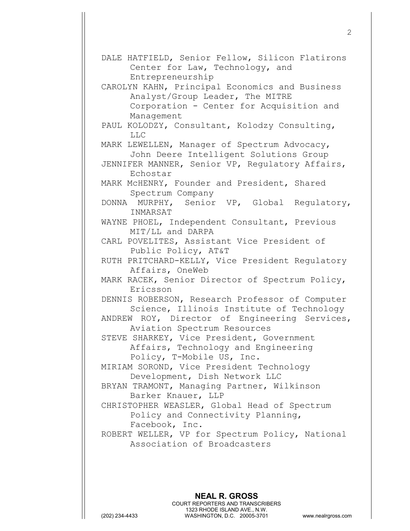DALE HATFIELD, Senior Fellow, Silicon Flatirons Center for Law, Technology, and Entrepreneurship CAROLYN KAHN, Principal Economics and Business Analyst/Group Leader, The MITRE Corporation - Center for Acquisition and Management PAUL KOLODZY, Consultant, Kolodzy Consulting, LLC MARK LEWELLEN, Manager of Spectrum Advocacy, John Deere Intelligent Solutions Group JENNIFER MANNER, Senior VP, Regulatory Affairs, Echostar MARK McHENRY, Founder and President, Shared Spectrum Company DONNA MURPHY, Senior VP, Global Regulatory, INMARSAT WAYNE PHOEL, Independent Consultant, Previous MIT/LL and DARPA CARL POVELITES, Assistant Vice President of Public Policy, AT&T RUTH PRITCHARD-KELLY, Vice President Regulatory Affairs, OneWeb MARK RACEK, Senior Director of Spectrum Policy, Ericsson DENNIS ROBERSON, Research Professor of Computer Science, Illinois Institute of Technology ANDREW ROY, Director of Engineering Services, Aviation Spectrum Resources STEVE SHARKEY, Vice President, Government Affairs, Technology and Engineering Policy, T-Mobile US, Inc. MIRIAM SOROND, Vice President Technology Development, Dish Network LLC BRYAN TRAMONT, Managing Partner, Wilkinson Barker Knauer, LLP CHRISTOPHER WEASLER, Global Head of Spectrum Policy and Connectivity Planning, Facebook, Inc. ROBERT WELLER, VP for Spectrum Policy, National Association of Broadcasters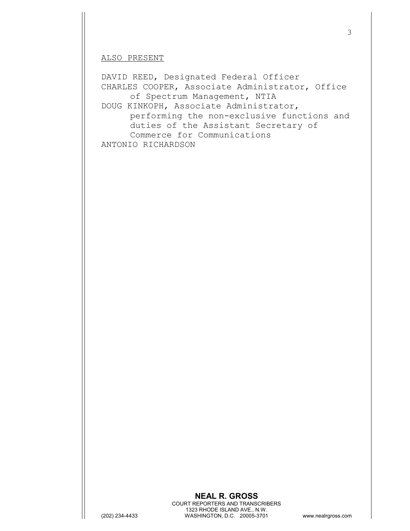## ALSO PRESENT

DAVID REED, Designated Federal Officer CHARLES COOPER, Associate Administrator, Office of Spectrum Management, NTIA DOUG KINKOPH, Associate Administrator, performing the non-exclusive functions and duties of the Assistant Secretary of Commerce for Communications ANTONIO RICHARDSON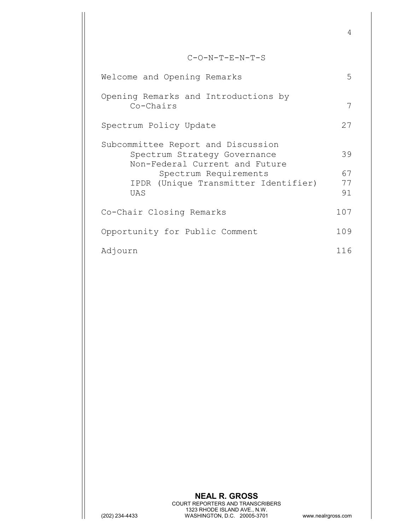C-O-N-T-E-N-T-S Welcome and Opening Remarks 5 Opening Remarks and Introductions by Co-Chairs 7 Spectrum Policy Update 27 Subcommittee Report and Discussion Spectrum Strategy Governance 39 Non-Federal Current and Future Spectrum Requirements 67<br>(Unique Transmitter Identifier) 77 IPDR (Unique Transmitter Identifier) 77<br>UAS 91 UAS 91 Co-Chair Closing Remarks 107 Opportunity for Public Comment 109 Adjourn 116

4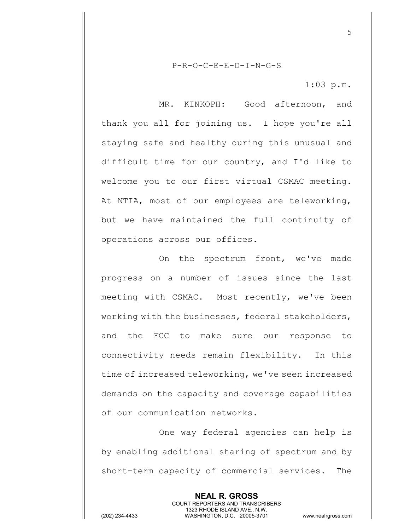P-R-O-C-E-E-D-I-N-G-S

1:03 p.m.

5

MR. KINKOPH: Good afternoon, and thank you all for joining us. I hope you're all staying safe and healthy during this unusual and difficult time for our country, and I'd like to welcome you to our first virtual CSMAC meeting. At NTIA, most of our employees are teleworking, but we have maintained the full continuity of operations across our offices.

On the spectrum front, we've made progress on a number of issues since the last meeting with CSMAC. Most recently, we've been working with the businesses, federal stakeholders, and the FCC to make sure our response to connectivity needs remain flexibility. In this time of increased teleworking, we've seen increased demands on the capacity and coverage capabilities of our communication networks.

One way federal agencies can help is by enabling additional sharing of spectrum and by short-term capacity of commercial services. The

> **NEAL R. GROSS** COURT REPORTERS AND TRANSCRIBERS 1323 RHODE ISLAND AVE., N.W.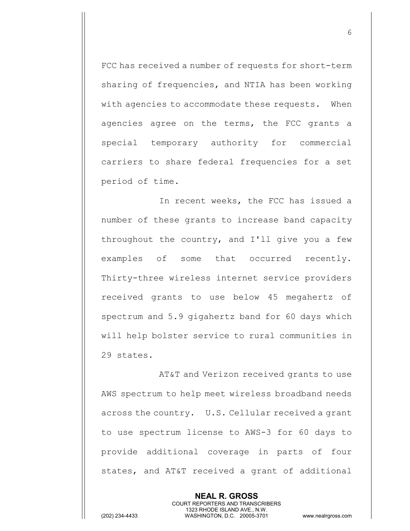FCC has received a number of requests for short-term sharing of frequencies, and NTIA has been working with agencies to accommodate these requests. When agencies agree on the terms, the FCC grants a special temporary authority for commercial carriers to share federal frequencies for a set period of time.

In recent weeks, the FCC has issued a number of these grants to increase band capacity throughout the country, and I'll give you a few examples of some that occurred recently. Thirty-three wireless internet service providers received grants to use below 45 megahertz of spectrum and 5.9 gigahertz band for 60 days which will help bolster service to rural communities in 29 states.

AT&T and Verizon received grants to use AWS spectrum to help meet wireless broadband needs across the country. U.S. Cellular received a grant to use spectrum license to AWS-3 for 60 days to provide additional coverage in parts of four states, and AT&T received a grant of additional

> **NEAL R. GROSS** COURT REPORTERS AND TRANSCRIBERS 1323 RHODE ISLAND AVE., N.W.

(202) 234-4433 WASHINGTON, D.C. 20005-3701 www.nealrgross.com

6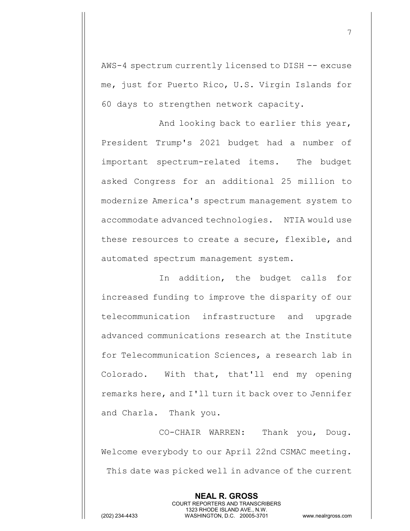AWS-4 spectrum currently licensed to DISH -- excuse me, just for Puerto Rico, U.S. Virgin Islands for 60 days to strengthen network capacity.

And looking back to earlier this year, President Trump's 2021 budget had a number of important spectrum-related items. The budget asked Congress for an additional 25 million to modernize America's spectrum management system to accommodate advanced technologies. NTIA would use these resources to create a secure, flexible, and automated spectrum management system.

In addition, the budget calls for increased funding to improve the disparity of our telecommunication infrastructure and upgrade advanced communications research at the Institute for Telecommunication Sciences, a research lab in Colorado. With that, that'll end my opening remarks here, and I'll turn it back over to Jennifer and Charla. Thank you.

CO-CHAIR WARREN: Thank you, Doug. Welcome everybody to our April 22nd CSMAC meeting. This date was picked well in advance of the current

> **NEAL R. GROSS** COURT REPORTERS AND TRANSCRIBERS 1323 RHODE ISLAND AVE., N.W.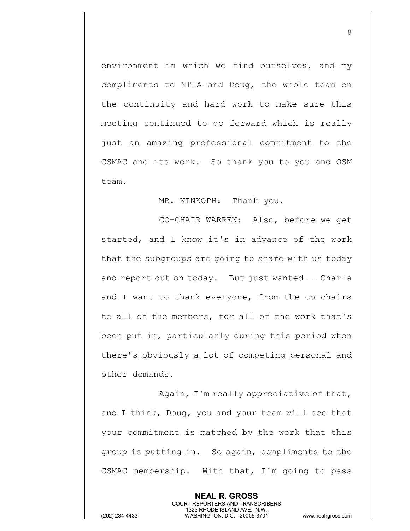environment in which we find ourselves, and my compliments to NTIA and Doug, the whole team on the continuity and hard work to make sure this meeting continued to go forward which is really just an amazing professional commitment to the CSMAC and its work. So thank you to you and OSM team.

MR. KINKOPH: Thank you.

CO-CHAIR WARREN: Also, before we get started, and I know it's in advance of the work that the subgroups are going to share with us today and report out on today. But just wanted -- Charla and I want to thank everyone, from the co-chairs to all of the members, for all of the work that's been put in, particularly during this period when there's obviously a lot of competing personal and other demands.

Again, I'm really appreciative of that, and I think, Doug, you and your team will see that your commitment is matched by the work that this group is putting in. So again, compliments to the CSMAC membership. With that, I'm going to pass

> **NEAL R. GROSS** COURT REPORTERS AND TRANSCRIBERS 1323 RHODE ISLAND AVE., N.W.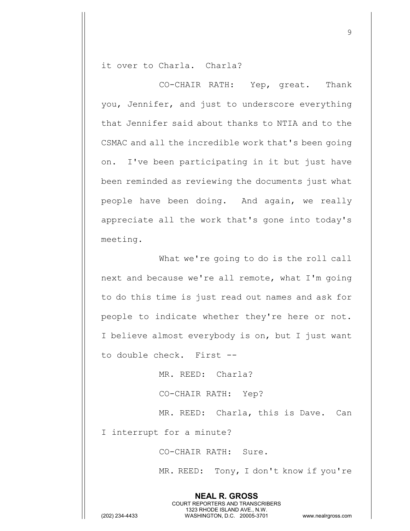it over to Charla. Charla?

CO-CHAIR RATH: Yep, great. Thank you, Jennifer, and just to underscore everything that Jennifer said about thanks to NTIA and to the CSMAC and all the incredible work that's been going on. I've been participating in it but just have been reminded as reviewing the documents just what people have been doing. And again, we really appreciate all the work that's gone into today's meeting.

What we're going to do is the roll call next and because we're all remote, what I'm going to do this time is just read out names and ask for people to indicate whether they're here or not. I believe almost everybody is on, but I just want to double check. First --

MR. REED: Charla?

CO-CHAIR RATH: Yep?

MR. REED: Charla, this is Dave. Can

I interrupt for a minute?

CO-CHAIR RATH: Sure.

**NEAL R. GROSS** COURT REPORTERS AND TRANSCRIBERS 1323 RHODE ISLAND AVE., N.W.

MR. REED: Tony, I don't know if you're

9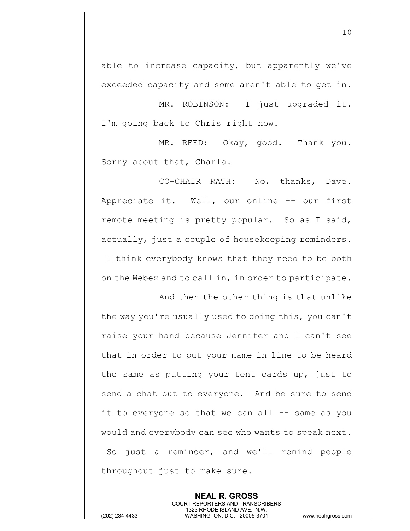able to increase capacity, but apparently we've exceeded capacity and some aren't able to get in.

MR. ROBINSON: I just upgraded it. I'm going back to Chris right now.

MR. REED: Okay, good. Thank you. Sorry about that, Charla.

CO-CHAIR RATH: No, thanks, Dave. Appreciate it. Well, our online -- our first remote meeting is pretty popular. So as I said, actually, just a couple of housekeeping reminders. I think everybody knows that they need to be both on the Webex and to call in, in order to participate.

And then the other thing is that unlike the way you're usually used to doing this, you can't raise your hand because Jennifer and I can't see that in order to put your name in line to be heard the same as putting your tent cards up, just to send a chat out to everyone. And be sure to send it to everyone so that we can all -- same as you would and everybody can see who wants to speak next. So just a reminder, and we'll remind people throughout just to make sure.

> **NEAL R. GROSS** COURT REPORTERS AND TRANSCRIBERS 1323 RHODE ISLAND AVE., N.W.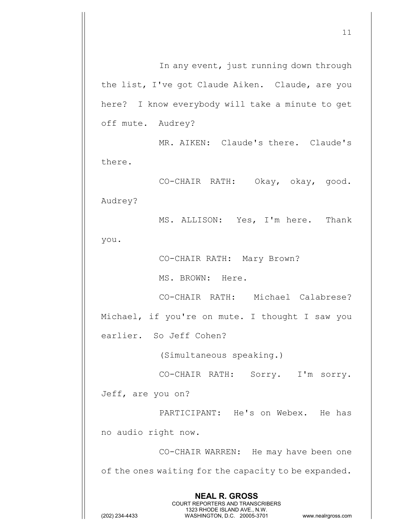In any event, just running down through the list, I've got Claude Aiken. Claude, are you here? I know everybody will take a minute to get off mute. Audrey?

MR. AIKEN: Claude's there. Claude's there.

CO-CHAIR RATH: Okay, okay, good. Audrey?

MS. ALLISON: Yes, I'm here. Thank you.

CO-CHAIR RATH: Mary Brown?

MS. BROWN: Here.

CO-CHAIR RATH: Michael Calabrese? Michael, if you're on mute. I thought I saw you earlier. So Jeff Cohen?

(Simultaneous speaking.)

CO-CHAIR RATH: Sorry. I'm sorry. Jeff, are you on?

PARTICIPANT: He's on Webex. He has no audio right now.

CO-CHAIR WARREN: He may have been one of the ones waiting for the capacity to be expanded.

> **NEAL R. GROSS** COURT REPORTERS AND TRANSCRIBERS 1323 RHODE ISLAND AVE., N.W.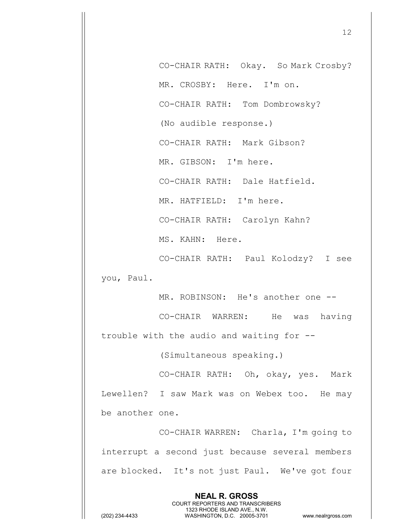CO-CHAIR RATH: Okay. So Mark Crosby? MR. CROSBY: Here. I'm on. CO-CHAIR RATH: Tom Dombrowsky? (No audible response.) CO-CHAIR RATH: Mark Gibson? MR. GIBSON: I'm here. CO-CHAIR RATH: Dale Hatfield. MR. HATFIELD: I'm here. CO-CHAIR RATH: Carolyn Kahn? MS. KAHN: Here.

CO-CHAIR RATH: Paul Kolodzy? I see you, Paul.

MR. ROBINSON: He's another one --

CO-CHAIR WARREN: He was having trouble with the audio and waiting for --

(Simultaneous speaking.)

CO-CHAIR RATH: Oh, okay, yes. Mark Lewellen? I saw Mark was on Webex too. He may be another one.

CO-CHAIR WARREN: Charla, I'm going to interrupt a second just because several members are blocked. It's not just Paul. We've got four

> **NEAL R. GROSS** COURT REPORTERS AND TRANSCRIBERS 1323 RHODE ISLAND AVE., N.W.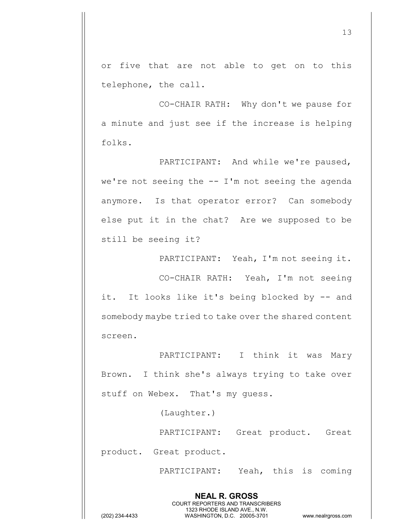or five that are not able to get on to this telephone, the call.

CO-CHAIR RATH: Why don't we pause for a minute and just see if the increase is helping folks.

PARTICIPANT: And while we're paused, we're not seeing the  $--$  I'm not seeing the agenda anymore. Is that operator error? Can somebody else put it in the chat? Are we supposed to be still be seeing it?

PARTICIPANT: Yeah, I'm not seeing it. CO-CHAIR RATH: Yeah, I'm not seeing it. It looks like it's being blocked by -- and somebody maybe tried to take over the shared content screen.

PARTICIPANT: I think it was Mary Brown. I think she's always trying to take over stuff on Webex. That's my guess.

(Laughter.)

PARTICIPANT: Great product. Great product. Great product.

> **NEAL R. GROSS** COURT REPORTERS AND TRANSCRIBERS 1323 RHODE ISLAND AVE., N.W.

PARTICIPANT: Yeah, this is coming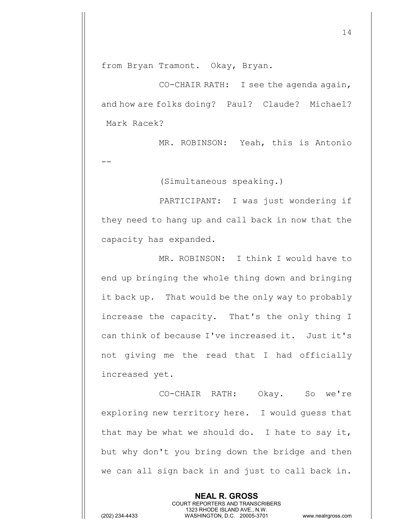from Bryan Tramont. Okay, Bryan.

CO-CHAIR RATH: I see the agenda again, and how are folks doing? Paul? Claude? Michael? Mark Racek?

MR. ROBINSON: Yeah, this is Antonio

--

(Simultaneous speaking.)

PARTICIPANT: I was just wondering if they need to hang up and call back in now that the capacity has expanded.

MR. ROBINSON: I think I would have to end up bringing the whole thing down and bringing it back up. That would be the only way to probably increase the capacity. That's the only thing I can think of because I've increased it. Just it's not giving me the read that I had officially increased yet.

CO-CHAIR RATH: Okay. So we're exploring new territory here. I would guess that that may be what we should do. I hate to say it, but why don't you bring down the bridge and then we can all sign back in and just to call back in.

> **NEAL R. GROSS** COURT REPORTERS AND TRANSCRIBERS 1323 RHODE ISLAND AVE., N.W.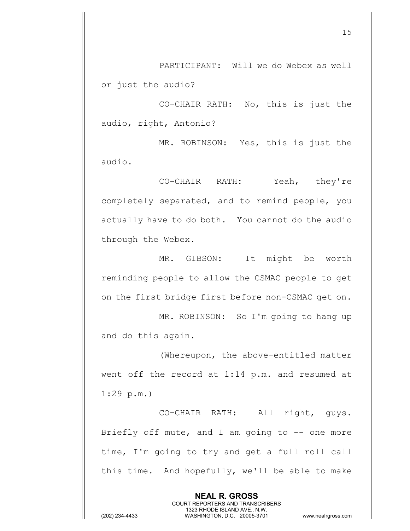PARTICIPANT: Will we do Webex as well or just the audio?

CO-CHAIR RATH: No, this is just the audio, right, Antonio?

MR. ROBINSON: Yes, this is just the audio.

CO-CHAIR RATH: Yeah, they're completely separated, and to remind people, you actually have to do both. You cannot do the audio through the Webex.

MR. GIBSON: It might be worth reminding people to allow the CSMAC people to get on the first bridge first before non-CSMAC get on.

MR. ROBINSON: So I'm going to hang up and do this again.

(Whereupon, the above-entitled matter went off the record at 1:14 p.m. and resumed at 1:29 p.m.)

CO-CHAIR RATH: All right, guys. Briefly off mute, and I am going to  $-$  one more time, I'm going to try and get a full roll call this time. And hopefully, we'll be able to make

> **NEAL R. GROSS** COURT REPORTERS AND TRANSCRIBERS 1323 RHODE ISLAND AVE., N.W.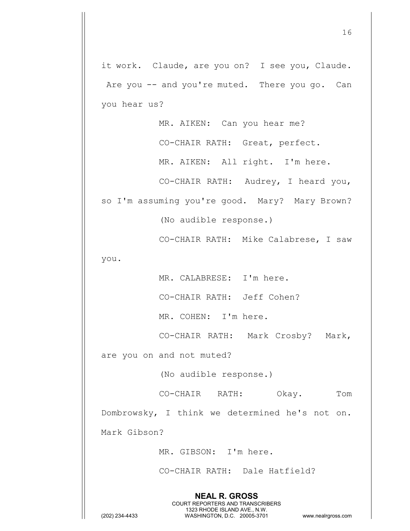it work. Claude, are you on? I see you, Claude. Are you -- and you're muted. There you go. Can you hear us?

MR. AIKEN: Can you hear me?

CO-CHAIR RATH: Great, perfect.

MR. AIKEN: All right. I'm here.

CO-CHAIR RATH: Audrey, I heard you,

so I'm assuming you're good. Mary? Mary Brown?

(No audible response.)

CO-CHAIR RATH: Mike Calabrese, I saw

you.

MR. CALABRESE: I'm here.

CO-CHAIR RATH: Jeff Cohen?

MR. COHEN: I'm here.

CO-CHAIR RATH: Mark Crosby? Mark,

are you on and not muted?

(No audible response.)

CO-CHAIR RATH: Okay. Tom

Dombrowsky, I think we determined he's not on.

Mark Gibson?

MR. GIBSON: I'm here.

CO-CHAIR RATH: Dale Hatfield?

**NEAL R. GROSS** COURT REPORTERS AND TRANSCRIBERS 1323 RHODE ISLAND AVE., N.W.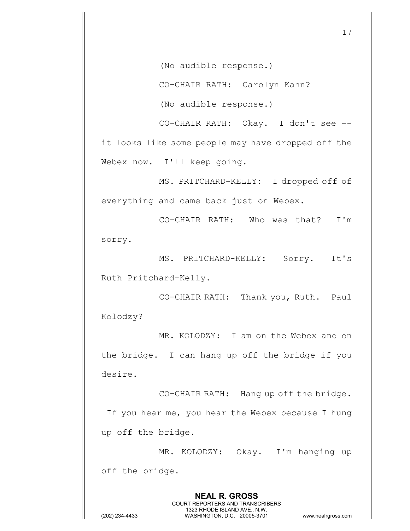(No audible response.)

CO-CHAIR RATH: Carolyn Kahn?

(No audible response.)

CO-CHAIR RATH: Okay. I don't see - it looks like some people may have dropped off the Webex now. I'll keep going.

MS. PRITCHARD-KELLY: I dropped off of everything and came back just on Webex.

CO-CHAIR RATH: Who was that? I'm sorry.

MS. PRITCHARD-KELLY: Sorry. It's Ruth Pritchard-Kelly.

CO-CHAIR RATH: Thank you, Ruth. Paul Kolodzy?

MR. KOLODZY: I am on the Webex and on the bridge. I can hang up off the bridge if you desire.

CO-CHAIR RATH: Hang up off the bridge. If you hear me, you hear the Webex because I hung up off the bridge.

MR. KOLODZY: Okay. I'm hanging up off the bridge.

> **NEAL R. GROSS** COURT REPORTERS AND TRANSCRIBERS 1323 RHODE ISLAND AVE., N.W.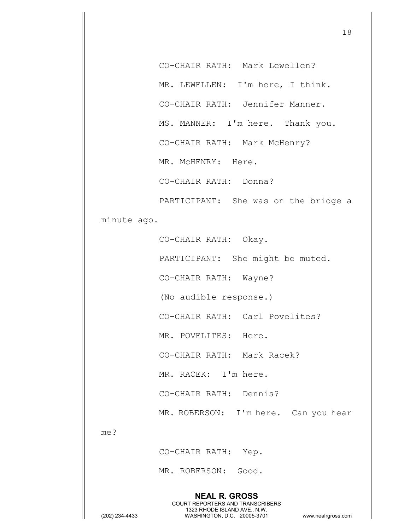CO-CHAIR RATH: Mark Lewellen? MR. LEWELLEN: I'm here, I think. CO-CHAIR RATH: Jennifer Manner. MS. MANNER: I'm here. Thank you. CO-CHAIR RATH: Mark McHenry? MR. McHENRY: Here. CO-CHAIR RATH: Donna? PARTICIPANT: She was on the bridge a

minute ago.

CO-CHAIR RATH: Okay.

PARTICIPANT: She might be muted.

CO-CHAIR RATH: Wayne?

(No audible response.)

CO-CHAIR RATH: Carl Povelites?

MR. POVELITES: Here.

CO-CHAIR RATH: Mark Racek?

MR. RACEK: I'm here.

CO-CHAIR RATH: Dennis?

MR. ROBERSON: I'm here. Can you hear

me?

CO-CHAIR RATH: Yep.

MR. ROBERSON: Good.

**NEAL R. GROSS** COURT REPORTERS AND TRANSCRIBERS 1323 RHODE ISLAND AVE., N.W. (202) 234-4433 WASHINGTON, D.C. 20005-3701 www.nealrgross.com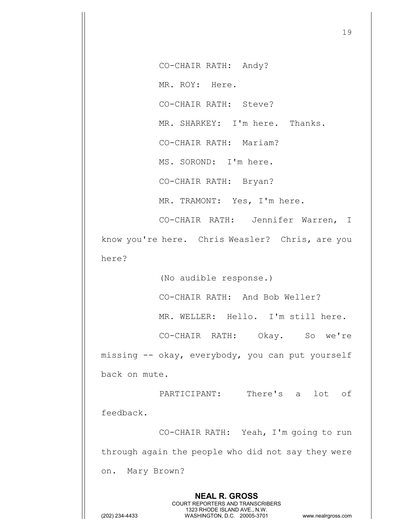CO-CHAIR RATH: Andy?

MR. ROY: Here.

CO-CHAIR RATH: Steve?

MR. SHARKEY: I'm here. Thanks.

CO-CHAIR RATH: Mariam?

MS. SOROND: I'm here.

CO-CHAIR RATH: Bryan?

MR. TRAMONT: Yes, I'm here.

CO-CHAIR RATH: Jennifer Warren, I know you're here. Chris Weasler? Chris, are you here?

(No audible response.)

CO-CHAIR RATH: And Bob Weller?

MR. WELLER: Hello. I'm still here.

CO-CHAIR RATH: Okay. So we're missing -- okay, everybody, you can put yourself back on mute.

PARTICIPANT: There's a lot of feedback.

CO-CHAIR RATH: Yeah, I'm going to run through again the people who did not say they were on. Mary Brown?

> **NEAL R. GROSS** COURT REPORTERS AND TRANSCRIBERS 1323 RHODE ISLAND AVE., N.W.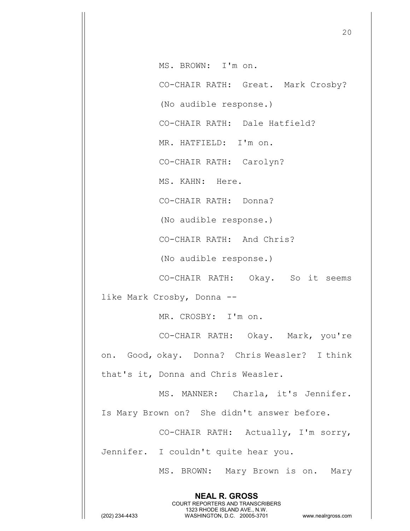MS. BROWN: I'm on.

CO-CHAIR RATH: Great. Mark Crosby?

(No audible response.)

CO-CHAIR RATH: Dale Hatfield?

MR. HATFIELD: I'm on.

CO-CHAIR RATH: Carolyn?

MS. KAHN: Here.

CO-CHAIR RATH: Donna?

(No audible response.)

CO-CHAIR RATH: And Chris?

(No audible response.)

CO-CHAIR RATH: Okay. So it seems

like Mark Crosby, Donna --

MR. CROSBY: I'm on.

CO-CHAIR RATH: Okay. Mark, you're on. Good, okay. Donna? Chris Weasler? I think that's it, Donna and Chris Weasler.

MS. MANNER: Charla, it's Jennifer.

Is Mary Brown on? She didn't answer before.

**NEAL R. GROSS** COURT REPORTERS AND TRANSCRIBERS 1323 RHODE ISLAND AVE., N.W.

CO-CHAIR RATH: Actually, I'm sorry,

Jennifer. I couldn't quite hear you.

MS. BROWN: Mary Brown is on. Mary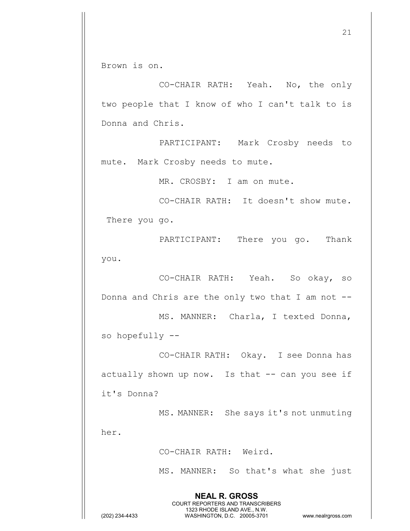Brown is on.

CO-CHAIR RATH: Yeah. No, the only two people that I know of who I can't talk to is Donna and Chris.

PARTICIPANT: Mark Crosby needs to mute. Mark Crosby needs to mute.

MR. CROSBY: I am on mute.

CO-CHAIR RATH: It doesn't show mute. There you go.

PARTICIPANT: There you go. Thank you.

CO-CHAIR RATH: Yeah. So okay, so Donna and Chris are the only two that I am not --

MS. MANNER: Charla, I texted Donna, so hopefully --

CO-CHAIR RATH: Okay. I see Donna has actually shown up now. Is that  $--$  can you see if it's Donna?

> **NEAL R. GROSS** COURT REPORTERS AND TRANSCRIBERS 1323 RHODE ISLAND AVE., N.W.

MS. MANNER: She says it's not unmuting

CO-CHAIR RATH: Weird.

MS. MANNER: So that's what she just

her.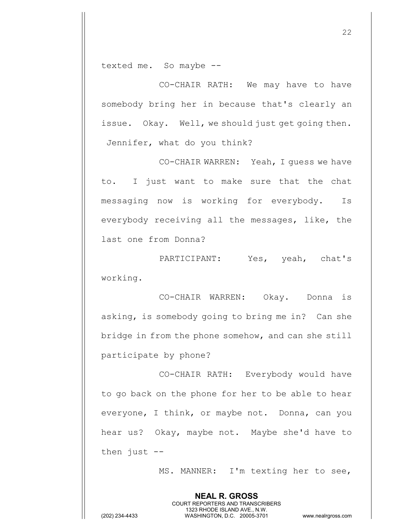texted me. So maybe --

CO-CHAIR RATH: We may have to have somebody bring her in because that's clearly an issue. Okay. Well, we should just get going then. Jennifer, what do you think?

CO-CHAIR WARREN: Yeah, I guess we have to. I just want to make sure that the chat messaging now is working for everybody. Is everybody receiving all the messages, like, the last one from Donna?

PARTICIPANT: Yes, yeah, chat's working.

CO-CHAIR WARREN: Okay. Donna is asking, is somebody going to bring me in? Can she bridge in from the phone somehow, and can she still participate by phone?

CO-CHAIR RATH: Everybody would have to go back on the phone for her to be able to hear everyone, I think, or maybe not. Donna, can you hear us? Okay, maybe not. Maybe she'd have to then just --

> **NEAL R. GROSS** COURT REPORTERS AND TRANSCRIBERS 1323 RHODE ISLAND AVE., N.W.

MS. MANNER: I'm texting her to see,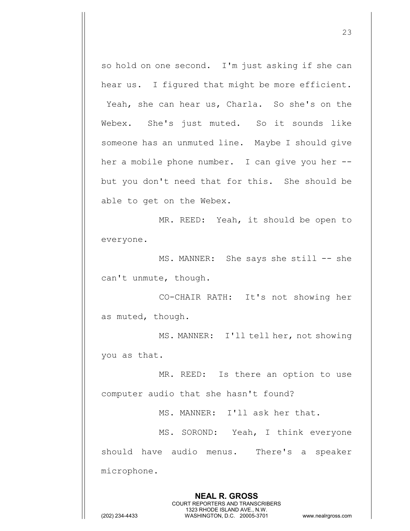so hold on one second. I'm just asking if she can hear us. I figured that might be more efficient. Yeah, she can hear us, Charla. So she's on the Webex. She's just muted. So it sounds like someone has an unmuted line. Maybe I should give her a mobile phone number. I can give you her - but you don't need that for this. She should be able to get on the Webex.

MR. REED: Yeah, it should be open to everyone.

MS. MANNER: She says she still -- she can't unmute, though.

CO-CHAIR RATH: It's not showing her as muted, though.

MS. MANNER: I'll tell her, not showing you as that.

MR. REED: Is there an option to use computer audio that she hasn't found?

MS. MANNER: I'll ask her that.

MS. SOROND: Yeah, I think everyone should have audio menus. There's a speaker microphone.

> **NEAL R. GROSS** COURT REPORTERS AND TRANSCRIBERS 1323 RHODE ISLAND AVE., N.W.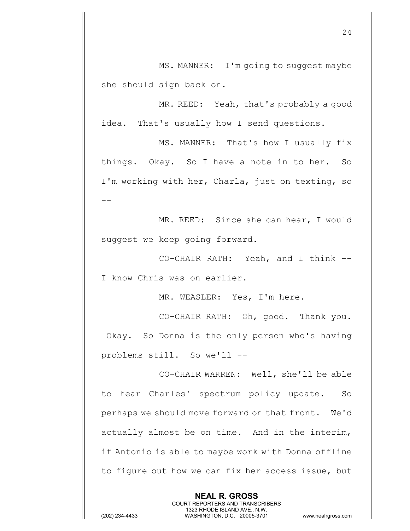MS. MANNER: I'm going to suggest maybe she should sign back on.

MR. REED: Yeah, that's probably a good idea. That's usually how I send questions.

MS. MANNER: That's how I usually fix things. Okay. So I have a note in to her. So I'm working with her, Charla, just on texting, so --

MR. REED: Since she can hear, I would suggest we keep going forward.

CO-CHAIR RATH: Yeah, and I think -- I know Chris was on earlier.

MR. WEASLER: Yes, I'm here.

CO-CHAIR RATH: Oh, good. Thank you. Okay. So Donna is the only person who's having problems still. So we'll --

CO-CHAIR WARREN: Well, she'll be able to hear Charles' spectrum policy update. So perhaps we should move forward on that front. We'd actually almost be on time. And in the interim, if Antonio is able to maybe work with Donna offline to figure out how we can fix her access issue, but

> **NEAL R. GROSS** COURT REPORTERS AND TRANSCRIBERS 1323 RHODE ISLAND AVE., N.W.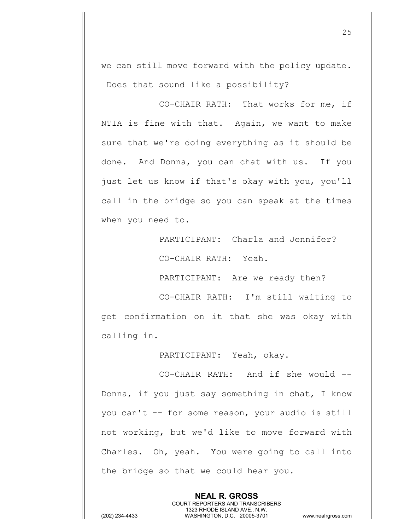we can still move forward with the policy update. Does that sound like a possibility?

CO-CHAIR RATH: That works for me, if NTIA is fine with that. Again, we want to make sure that we're doing everything as it should be done. And Donna, you can chat with us. If you just let us know if that's okay with you, you'll call in the bridge so you can speak at the times when you need to.

> PARTICIPANT: Charla and Jennifer? CO-CHAIR RATH: Yeah.

PARTICIPANT: Are we ready then?

CO-CHAIR RATH: I'm still waiting to get confirmation on it that she was okay with calling in.

PARTICIPANT: Yeah, okay.

CO-CHAIR RATH: And if she would -- Donna, if you just say something in chat, I know you can't -- for some reason, your audio is still not working, but we'd like to move forward with Charles. Oh, yeah. You were going to call into the bridge so that we could hear you.

> **NEAL R. GROSS** COURT REPORTERS AND TRANSCRIBERS 1323 RHODE ISLAND AVE., N.W.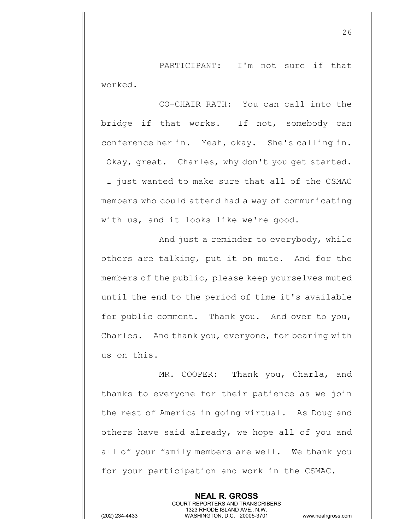PARTICIPANT: I'm not sure if that worked.

CO-CHAIR RATH: You can call into the bridge if that works. If not, somebody can conference her in. Yeah, okay. She's calling in. Okay, great. Charles, why don't you get started. I just wanted to make sure that all of the CSMAC members who could attend had a way of communicating with us, and it looks like we're good.

And just a reminder to everybody, while others are talking, put it on mute. And for the members of the public, please keep yourselves muted until the end to the period of time it's available for public comment. Thank you. And over to you, Charles. And thank you, everyone, for bearing with us on this.

MR. COOPER: Thank you, Charla, and thanks to everyone for their patience as we join the rest of America in going virtual. As Doug and others have said already, we hope all of you and all of your family members are well. We thank you for your participation and work in the CSMAC.

> **NEAL R. GROSS** COURT REPORTERS AND TRANSCRIBERS 1323 RHODE ISLAND AVE., N.W.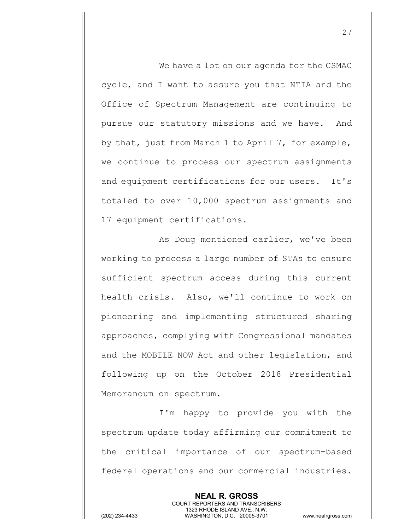We have a lot on our agenda for the CSMAC cycle, and I want to assure you that NTIA and the Office of Spectrum Management are continuing to pursue our statutory missions and we have. And by that, just from March 1 to April 7, for example, we continue to process our spectrum assignments and equipment certifications for our users. It's totaled to over 10,000 spectrum assignments and 17 equipment certifications.

As Doug mentioned earlier, we've been working to process a large number of STAs to ensure sufficient spectrum access during this current health crisis. Also, we'll continue to work on pioneering and implementing structured sharing approaches, complying with Congressional mandates and the MOBILE NOW Act and other legislation, and following up on the October 2018 Presidential Memorandum on spectrum.

I'm happy to provide you with the spectrum update today affirming our commitment to the critical importance of our spectrum-based federal operations and our commercial industries.

> **NEAL R. GROSS** COURT REPORTERS AND TRANSCRIBERS 1323 RHODE ISLAND AVE., N.W.

(202) 234-4433 WASHINGTON, D.C. 20005-3701 www.nealrgross.com

27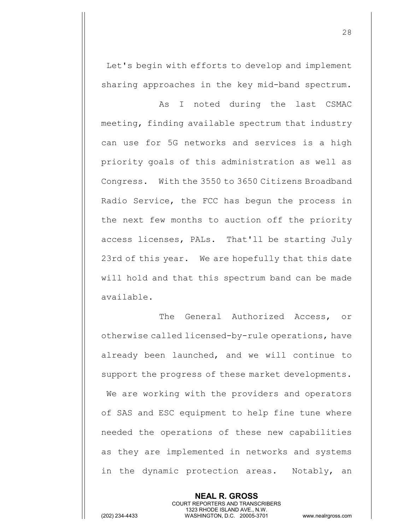Let's begin with efforts to develop and implement sharing approaches in the key mid-band spectrum.

As I noted during the last CSMAC meeting, finding available spectrum that industry can use for 5G networks and services is a high priority goals of this administration as well as Congress. With the 3550 to 3650 Citizens Broadband Radio Service, the FCC has begun the process in the next few months to auction off the priority access licenses, PALs. That'll be starting July 23rd of this year. We are hopefully that this date will hold and that this spectrum band can be made available.

The General Authorized Access, or otherwise called licensed-by-rule operations, have already been launched, and we will continue to support the progress of these market developments. We are working with the providers and operators of SAS and ESC equipment to help fine tune where needed the operations of these new capabilities as they are implemented in networks and systems in the dynamic protection areas. Notably, an

> **NEAL R. GROSS** COURT REPORTERS AND TRANSCRIBERS 1323 RHODE ISLAND AVE., N.W.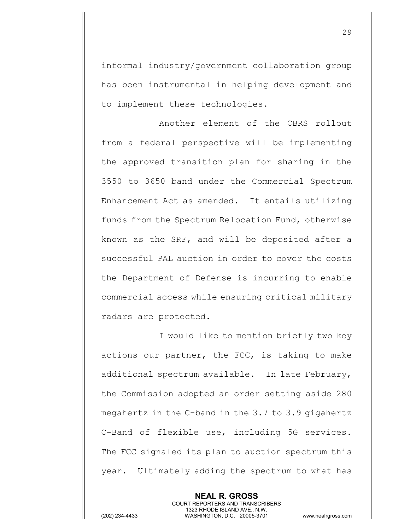informal industry/government collaboration group has been instrumental in helping development and to implement these technologies.

Another element of the CBRS rollout from a federal perspective will be implementing the approved transition plan for sharing in the 3550 to 3650 band under the Commercial Spectrum Enhancement Act as amended. It entails utilizing funds from the Spectrum Relocation Fund, otherwise known as the SRF, and will be deposited after a successful PAL auction in order to cover the costs the Department of Defense is incurring to enable commercial access while ensuring critical military radars are protected.

I would like to mention briefly two key actions our partner, the FCC, is taking to make additional spectrum available. In late February, the Commission adopted an order setting aside 280 megahertz in the C-band in the 3.7 to 3.9 gigahertz C-Band of flexible use, including 5G services. The FCC signaled its plan to auction spectrum this year. Ultimately adding the spectrum to what has

> **NEAL R. GROSS** COURT REPORTERS AND TRANSCRIBERS 1323 RHODE ISLAND AVE., N.W.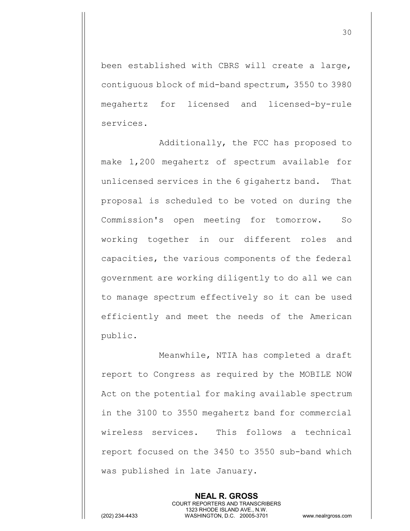been established with CBRS will create a large, contiguous block of mid-band spectrum, 3550 to 3980 megahertz for licensed and licensed-by-rule services.

Additionally, the FCC has proposed to make 1,200 megahertz of spectrum available for unlicensed services in the 6 gigahertz band. That proposal is scheduled to be voted on during the Commission's open meeting for tomorrow. So working together in our different roles and capacities, the various components of the federal government are working diligently to do all we can to manage spectrum effectively so it can be used efficiently and meet the needs of the American public.

Meanwhile, NTIA has completed a draft report to Congress as required by the MOBILE NOW Act on the potential for making available spectrum in the 3100 to 3550 megahertz band for commercial wireless services. This follows a technical report focused on the 3450 to 3550 sub-band which was published in late January.

> **NEAL R. GROSS** COURT REPORTERS AND TRANSCRIBERS 1323 RHODE ISLAND AVE., N.W.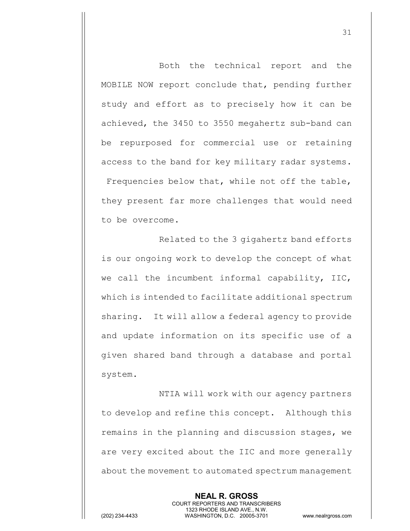Both the technical report and the MOBILE NOW report conclude that, pending further study and effort as to precisely how it can be achieved, the 3450 to 3550 megahertz sub-band can be repurposed for commercial use or retaining access to the band for key military radar systems. Frequencies below that, while not off the table, they present far more challenges that would need to be overcome.

Related to the 3 gigahertz band efforts is our ongoing work to develop the concept of what we call the incumbent informal capability, IIC, which is intended to facilitate additional spectrum sharing. It will allow a federal agency to provide and update information on its specific use of a given shared band through a database and portal system.

NTIA will work with our agency partners to develop and refine this concept. Although this remains in the planning and discussion stages, we are very excited about the IIC and more generally about the movement to automated spectrum management

> **NEAL R. GROSS** COURT REPORTERS AND TRANSCRIBERS 1323 RHODE ISLAND AVE., N.W.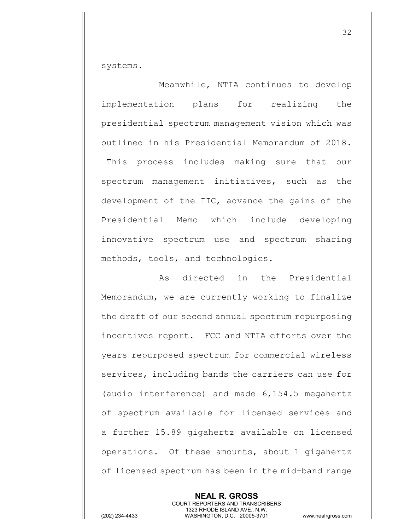systems.

Meanwhile, NTIA continues to develop implementation plans for realizing the presidential spectrum management vision which was outlined in his Presidential Memorandum of 2018. This process includes making sure that our spectrum management initiatives, such as the development of the IIC, advance the gains of the Presidential Memo which include developing innovative spectrum use and spectrum sharing methods, tools, and technologies.

As directed in the Presidential Memorandum, we are currently working to finalize the draft of our second annual spectrum repurposing incentives report. FCC and NTIA efforts over the years repurposed spectrum for commercial wireless services, including bands the carriers can use for (audio interference) and made 6,154.5 megahertz of spectrum available for licensed services and a further 15.89 gigahertz available on licensed operations. Of these amounts, about 1 gigahertz of licensed spectrum has been in the mid-band range

**NEAL R. GROSS** COURT REPORTERS AND TRANSCRIBERS 1323 RHODE ISLAND AVE., N.W. (202) 234-4433 WASHINGTON, D.C. 20005-3701 www.nealrgross.com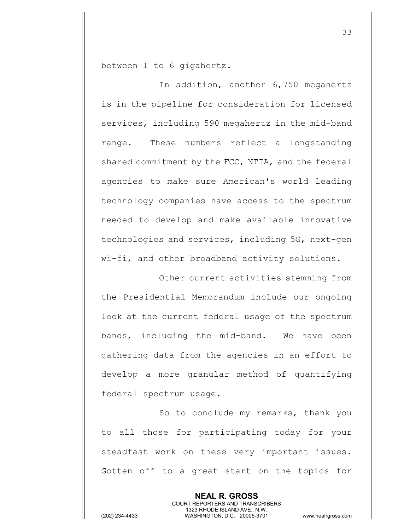between 1 to 6 gigahertz.

In addition, another 6,750 megahertz is in the pipeline for consideration for licensed services, including 590 megahertz in the mid-band range. These numbers reflect a longstanding shared commitment by the FCC, NTIA, and the federal agencies to make sure American's world leading technology companies have access to the spectrum needed to develop and make available innovative technologies and services, including 5G, next-gen wi-fi, and other broadband activity solutions.

Other current activities stemming from the Presidential Memorandum include our ongoing look at the current federal usage of the spectrum bands, including the mid-band. We have been gathering data from the agencies in an effort to develop a more granular method of quantifying federal spectrum usage.

So to conclude my remarks, thank you to all those for participating today for your steadfast work on these very important issues. Gotten off to a great start on the topics for

> **NEAL R. GROSS** COURT REPORTERS AND TRANSCRIBERS 1323 RHODE ISLAND AVE., N.W.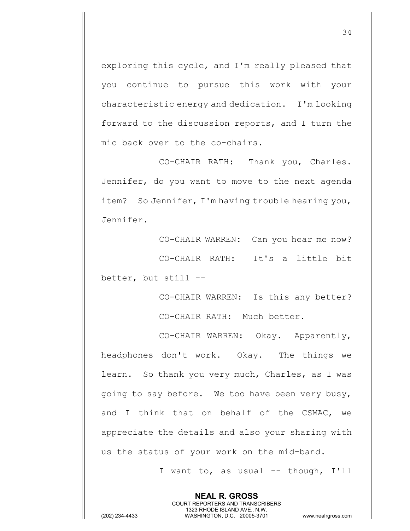exploring this cycle, and I'm really pleased that you continue to pursue this work with your characteristic energy and dedication. I'm looking forward to the discussion reports, and I turn the mic back over to the co-chairs.

CO-CHAIR RATH: Thank you, Charles. Jennifer, do you want to move to the next agenda item? So Jennifer, I'm having trouble hearing you, Jennifer.

CO-CHAIR WARREN: Can you hear me now? CO-CHAIR RATH: It's a little bit better, but still --

> CO-CHAIR WARREN: Is this any better? CO-CHAIR RATH: Much better.

CO-CHAIR WARREN: Okay. Apparently, headphones don't work. Okay. The things we learn. So thank you very much, Charles, as I was going to say before. We too have been very busy, and I think that on behalf of the CSMAC, we appreciate the details and also your sharing with us the status of your work on the mid-band.

> **NEAL R. GROSS** COURT REPORTERS AND TRANSCRIBERS 1323 RHODE ISLAND AVE., N.W.

I want to, as usual -- though, I'll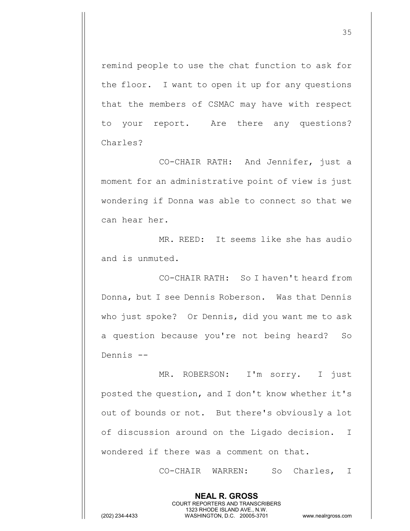remind people to use the chat function to ask for the floor. I want to open it up for any questions that the members of CSMAC may have with respect to your report. Are there any questions? Charles?

CO-CHAIR RATH: And Jennifer, just a moment for an administrative point of view is just wondering if Donna was able to connect so that we can hear her.

MR. REED: It seems like she has audio and is unmuted.

CO-CHAIR RATH: So I haven't heard from Donna, but I see Dennis Roberson. Was that Dennis who just spoke? Or Dennis, did you want me to ask a question because you're not being heard? So Dennis --

MR. ROBERSON: I'm sorry. I just posted the question, and I don't know whether it's out of bounds or not. But there's obviously a lot of discussion around on the Ligado decision. I wondered if there was a comment on that.

> **NEAL R. GROSS** COURT REPORTERS AND TRANSCRIBERS 1323 RHODE ISLAND AVE., N.W.

CO-CHAIR WARREN: So Charles, I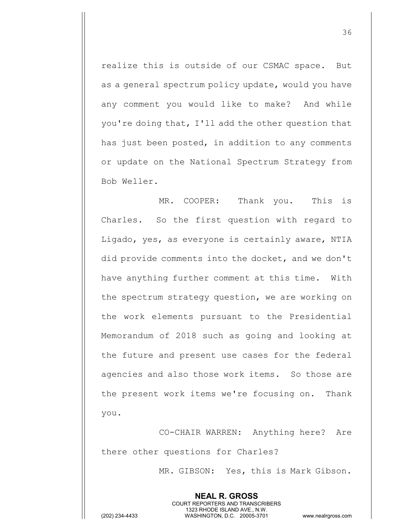realize this is outside of our CSMAC space. But as a general spectrum policy update, would you have any comment you would like to make? And while you're doing that, I'll add the other question that has just been posted, in addition to any comments or update on the National Spectrum Strategy from Bob Weller.

MR. COOPER: Thank you. This is Charles. So the first question with regard to Ligado, yes, as everyone is certainly aware, NTIA did provide comments into the docket, and we don't have anything further comment at this time. With the spectrum strategy question, we are working on the work elements pursuant to the Presidential Memorandum of 2018 such as going and looking at the future and present use cases for the federal agencies and also those work items. So those are the present work items we're focusing on. Thank you.

CO-CHAIR WARREN: Anything here? Are there other questions for Charles?

> **NEAL R. GROSS** COURT REPORTERS AND TRANSCRIBERS 1323 RHODE ISLAND AVE., N.W.

MR. GIBSON: Yes, this is Mark Gibson.

36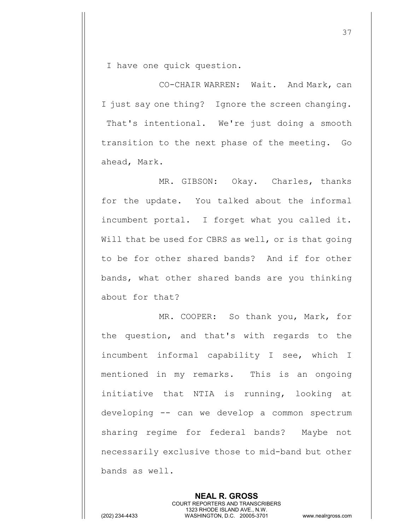I have one quick question.

CO-CHAIR WARREN: Wait. And Mark, can I just say one thing? Ignore the screen changing. That's intentional. We're just doing a smooth transition to the next phase of the meeting. Go ahead, Mark.

MR. GIBSON: Okay. Charles, thanks for the update. You talked about the informal incumbent portal. I forget what you called it. Will that be used for CBRS as well, or is that going to be for other shared bands? And if for other bands, what other shared bands are you thinking about for that?

MR. COOPER: So thank you, Mark, for the question, and that's with regards to the incumbent informal capability I see, which I mentioned in my remarks. This is an ongoing initiative that NTIA is running, looking at developing -- can we develop a common spectrum sharing regime for federal bands? Maybe not necessarily exclusive those to mid-band but other bands as well.

> **NEAL R. GROSS** COURT REPORTERS AND TRANSCRIBERS 1323 RHODE ISLAND AVE., N.W.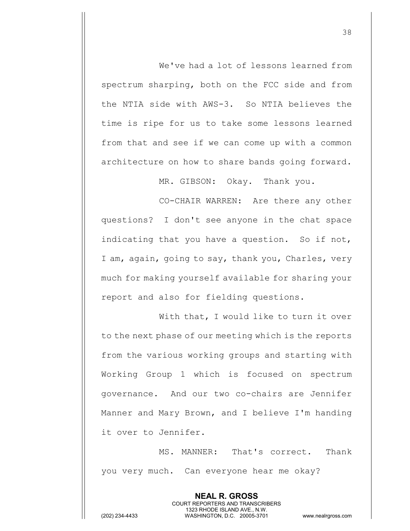We've had a lot of lessons learned from spectrum sharping, both on the FCC side and from the NTIA side with AWS-3. So NTIA believes the time is ripe for us to take some lessons learned from that and see if we can come up with a common architecture on how to share bands going forward.

MR. GIBSON: Okay. Thank you.

CO-CHAIR WARREN: Are there any other questions? I don't see anyone in the chat space indicating that you have a question. So if not, I am, again, going to say, thank you, Charles, very much for making yourself available for sharing your report and also for fielding questions.

With that, I would like to turn it over to the next phase of our meeting which is the reports from the various working groups and starting with Working Group 1 which is focused on spectrum governance. And our two co-chairs are Jennifer Manner and Mary Brown, and I believe I'm handing it over to Jennifer.

MS. MANNER: That's correct. Thank you very much. Can everyone hear me okay?

> **NEAL R. GROSS** COURT REPORTERS AND TRANSCRIBERS 1323 RHODE ISLAND AVE., N.W.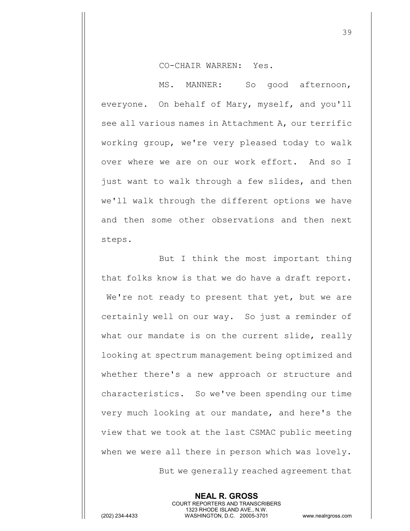## CO-CHAIR WARREN: Yes.

MS. MANNER: So good afternoon, everyone. On behalf of Mary, myself, and you'll see all various names in Attachment A, our terrific working group, we're very pleased today to walk over where we are on our work effort. And so I just want to walk through a few slides, and then we'll walk through the different options we have and then some other observations and then next steps.

But I think the most important thing that folks know is that we do have a draft report. We're not ready to present that yet, but we are certainly well on our way. So just a reminder of what our mandate is on the current slide, really looking at spectrum management being optimized and whether there's a new approach or structure and characteristics. So we've been spending our time very much looking at our mandate, and here's the view that we took at the last CSMAC public meeting when we were all there in person which was lovely. But we generally reached agreement that

> **NEAL R. GROSS** COURT REPORTERS AND TRANSCRIBERS 1323 RHODE ISLAND AVE., N.W.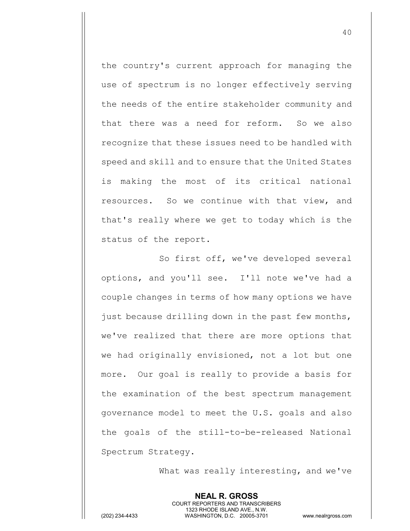the country's current approach for managing the use of spectrum is no longer effectively serving the needs of the entire stakeholder community and that there was a need for reform. So we also recognize that these issues need to be handled with speed and skill and to ensure that the United States is making the most of its critical national resources. So we continue with that view, and that's really where we get to today which is the status of the report.

So first off, we've developed several options, and you'll see. I'll note we've had a couple changes in terms of how many options we have just because drilling down in the past few months, we've realized that there are more options that we had originally envisioned, not a lot but one more. Our goal is really to provide a basis for the examination of the best spectrum management governance model to meet the U.S. goals and also the goals of the still-to-be-released National Spectrum Strategy.

What was really interesting, and we've

**NEAL R. GROSS** COURT REPORTERS AND TRANSCRIBERS 1323 RHODE ISLAND AVE., N.W. (202) 234-4433 WASHINGTON, D.C. 20005-3701 www.nealrgross.com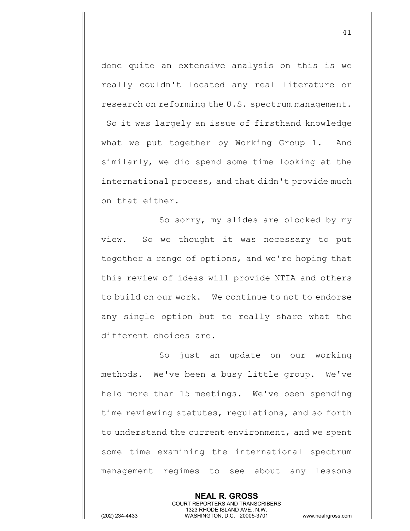done quite an extensive analysis on this is we really couldn't located any real literature or research on reforming the U.S. spectrum management. So it was largely an issue of firsthand knowledge what we put together by Working Group 1. And similarly, we did spend some time looking at the international process, and that didn't provide much on that either.

So sorry, my slides are blocked by my view. So we thought it was necessary to put together a range of options, and we're hoping that this review of ideas will provide NTIA and others to build on our work. We continue to not to endorse any single option but to really share what the different choices are.

So just an update on our working methods. We've been a busy little group. We've held more than 15 meetings. We've been spending time reviewing statutes, regulations, and so forth to understand the current environment, and we spent some time examining the international spectrum management regimes to see about any lessons

> **NEAL R. GROSS** COURT REPORTERS AND TRANSCRIBERS 1323 RHODE ISLAND AVE., N.W.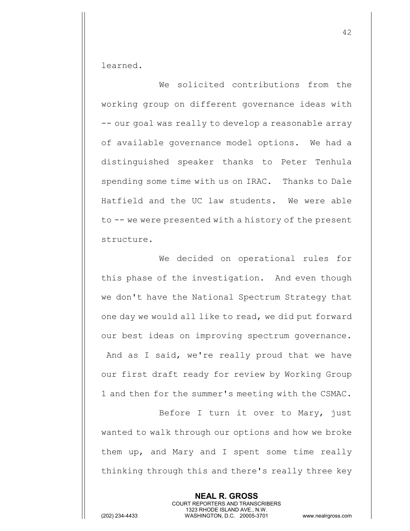learned.

We solicited contributions from the working group on different governance ideas with -- our goal was really to develop a reasonable array of available governance model options. We had a distinguished speaker thanks to Peter Tenhula spending some time with us on IRAC. Thanks to Dale Hatfield and the UC law students. We were able to -- we were presented with a history of the present structure.

We decided on operational rules for this phase of the investigation. And even though we don't have the National Spectrum Strategy that one day we would all like to read, we did put forward our best ideas on improving spectrum governance. And as I said, we're really proud that we have our first draft ready for review by Working Group 1 and then for the summer's meeting with the CSMAC.

Before I turn it over to Mary, just wanted to walk through our options and how we broke them up, and Mary and I spent some time really thinking through this and there's really three key

> **NEAL R. GROSS** COURT REPORTERS AND TRANSCRIBERS 1323 RHODE ISLAND AVE., N.W.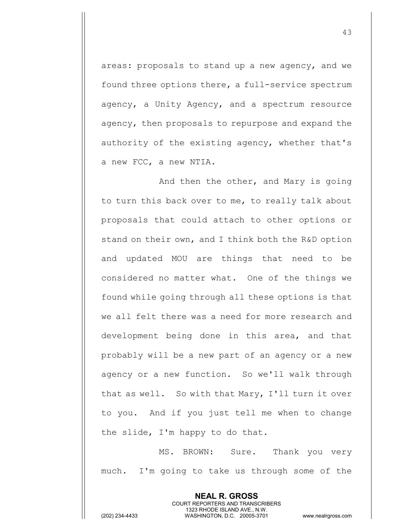areas: proposals to stand up a new agency, and we found three options there, a full-service spectrum agency, a Unity Agency, and a spectrum resource agency, then proposals to repurpose and expand the authority of the existing agency, whether that's a new FCC, a new NTIA.

And then the other, and Mary is going to turn this back over to me, to really talk about proposals that could attach to other options or stand on their own, and I think both the R&D option and updated MOU are things that need to be considered no matter what. One of the things we found while going through all these options is that we all felt there was a need for more research and development being done in this area, and that probably will be a new part of an agency or a new agency or a new function. So we'll walk through that as well. So with that Mary, I'll turn it over to you. And if you just tell me when to change the slide, I'm happy to do that.

MS. BROWN: Sure. Thank you very much. I'm going to take us through some of the

> **NEAL R. GROSS** COURT REPORTERS AND TRANSCRIBERS 1323 RHODE ISLAND AVE., N.W.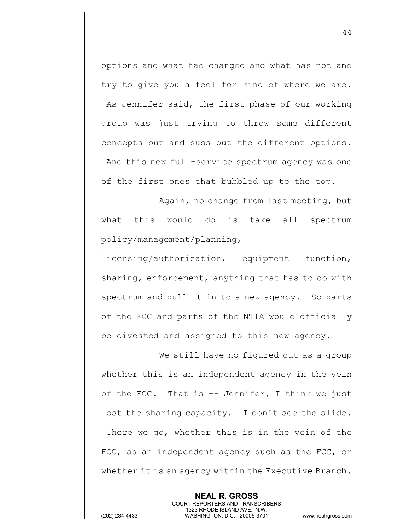options and what had changed and what has not and try to give you a feel for kind of where we are. As Jennifer said, the first phase of our working group was just trying to throw some different concepts out and suss out the different options. And this new full-service spectrum agency was one of the first ones that bubbled up to the top.

Again, no change from last meeting, but what this would do is take all spectrum policy/management/planning,

licensing/authorization, equipment function, sharing, enforcement, anything that has to do with spectrum and pull it in to a new agency. So parts of the FCC and parts of the NTIA would officially be divested and assigned to this new agency.

We still have no figured out as a group whether this is an independent agency in the vein of the FCC. That is  $-$ - Jennifer, I think we just lost the sharing capacity. I don't see the slide. There we go, whether this is in the vein of the FCC, as an independent agency such as the FCC, or whether it is an agency within the Executive Branch.

> **NEAL R. GROSS** COURT REPORTERS AND TRANSCRIBERS 1323 RHODE ISLAND AVE., N.W.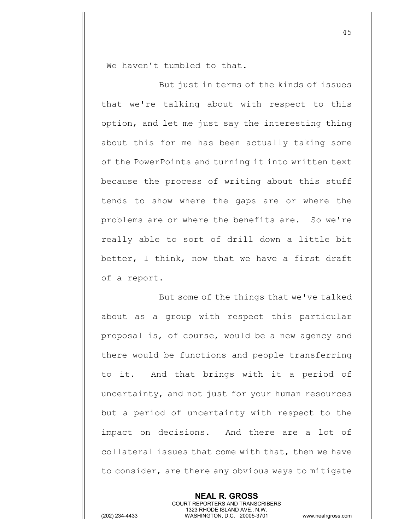We haven't tumbled to that.

But just in terms of the kinds of issues that we're talking about with respect to this option, and let me just say the interesting thing about this for me has been actually taking some of the PowerPoints and turning it into written text because the process of writing about this stuff tends to show where the gaps are or where the problems are or where the benefits are. So we're really able to sort of drill down a little bit better, I think, now that we have a first draft of a report.

But some of the things that we've talked about as a group with respect this particular proposal is, of course, would be a new agency and there would be functions and people transferring to it. And that brings with it a period of uncertainty, and not just for your human resources but a period of uncertainty with respect to the impact on decisions. And there are a lot of collateral issues that come with that, then we have to consider, are there any obvious ways to mitigate

> **NEAL R. GROSS** COURT REPORTERS AND TRANSCRIBERS 1323 RHODE ISLAND AVE., N.W.

(202) 234-4433 WASHINGTON, D.C. 20005-3701 www.nealrgross.com

45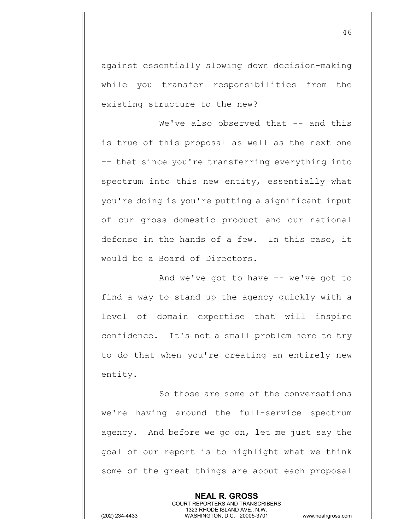against essentially slowing down decision-making while you transfer responsibilities from the existing structure to the new?

We've also observed that -- and this is true of this proposal as well as the next one -- that since you're transferring everything into spectrum into this new entity, essentially what you're doing is you're putting a significant input of our gross domestic product and our national defense in the hands of a few. In this case, it would be a Board of Directors.

And we've got to have -- we've got to find a way to stand up the agency quickly with a level of domain expertise that will inspire confidence. It's not a small problem here to try to do that when you're creating an entirely new entity.

So those are some of the conversations we're having around the full-service spectrum agency. And before we go on, let me just say the goal of our report is to highlight what we think some of the great things are about each proposal

> **NEAL R. GROSS** COURT REPORTERS AND TRANSCRIBERS 1323 RHODE ISLAND AVE., N.W.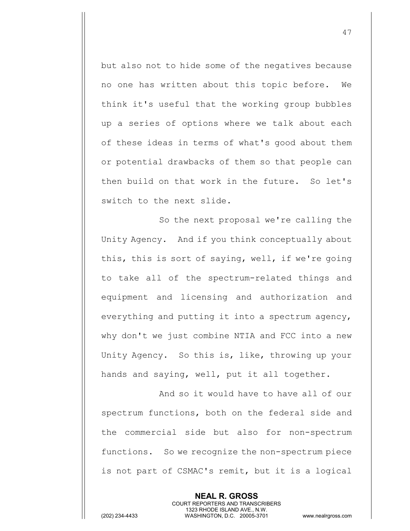but also not to hide some of the negatives because no one has written about this topic before. We think it's useful that the working group bubbles up a series of options where we talk about each of these ideas in terms of what's good about them or potential drawbacks of them so that people can then build on that work in the future. So let's switch to the next slide.

So the next proposal we're calling the Unity Agency. And if you think conceptually about this, this is sort of saying, well, if we're going to take all of the spectrum-related things and equipment and licensing and authorization and everything and putting it into a spectrum agency, why don't we just combine NTIA and FCC into a new Unity Agency. So this is, like, throwing up your hands and saying, well, put it all together.

And so it would have to have all of our spectrum functions, both on the federal side and the commercial side but also for non-spectrum functions. So we recognize the non-spectrum piece is not part of CSMAC's remit, but it is a logical

> **NEAL R. GROSS** COURT REPORTERS AND TRANSCRIBERS 1323 RHODE ISLAND AVE., N.W.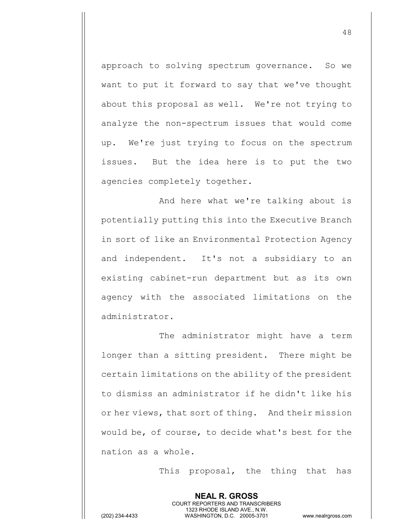approach to solving spectrum governance. So we want to put it forward to say that we've thought about this proposal as well. We're not trying to analyze the non-spectrum issues that would come up. We're just trying to focus on the spectrum issues. But the idea here is to put the two agencies completely together.

And here what we're talking about is potentially putting this into the Executive Branch in sort of like an Environmental Protection Agency and independent. It's not a subsidiary to an existing cabinet-run department but as its own agency with the associated limitations on the administrator.

The administrator might have a term longer than a sitting president. There might be certain limitations on the ability of the president to dismiss an administrator if he didn't like his or her views, that sort of thing. And their mission would be, of course, to decide what's best for the nation as a whole.

> **NEAL R. GROSS** COURT REPORTERS AND TRANSCRIBERS 1323 RHODE ISLAND AVE., N.W.

This proposal, the thing that has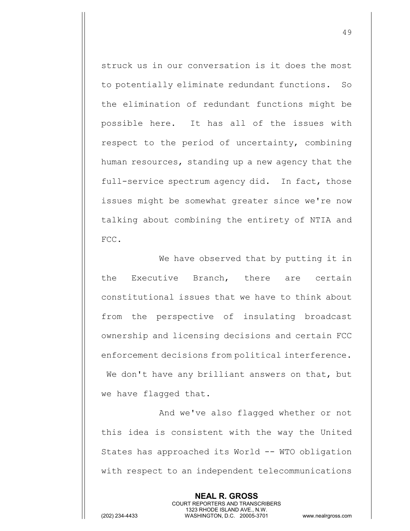struck us in our conversation is it does the most to potentially eliminate redundant functions. So the elimination of redundant functions might be possible here. It has all of the issues with respect to the period of uncertainty, combining human resources, standing up a new agency that the full-service spectrum agency did. In fact, those issues might be somewhat greater since we're now talking about combining the entirety of NTIA and FCC.

We have observed that by putting it in the Executive Branch, there are certain constitutional issues that we have to think about from the perspective of insulating broadcast ownership and licensing decisions and certain FCC enforcement decisions from political interference. We don't have any brilliant answers on that, but we have flagged that.

And we've also flagged whether or not this idea is consistent with the way the United States has approached its World -- WTO obligation with respect to an independent telecommunications

> **NEAL R. GROSS** COURT REPORTERS AND TRANSCRIBERS 1323 RHODE ISLAND AVE., N.W.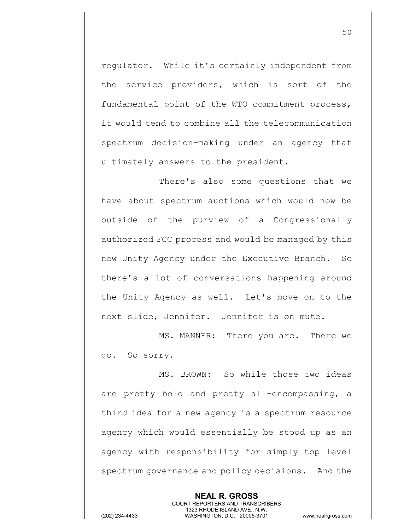regulator. While it's certainly independent from the service providers, which is sort of the fundamental point of the WTO commitment process, it would tend to combine all the telecommunication spectrum decision-making under an agency that ultimately answers to the president.

There's also some questions that we have about spectrum auctions which would now be outside of the purview of a Congressionally authorized FCC process and would be managed by this new Unity Agency under the Executive Branch. So there's a lot of conversations happening around the Unity Agency as well. Let's move on to the next slide, Jennifer. Jennifer is on mute.

MS. MANNER: There you are. There we go. So sorry.

MS. BROWN: So while those two ideas are pretty bold and pretty all-encompassing, a third idea for a new agency is a spectrum resource agency which would essentially be stood up as an agency with responsibility for simply top level spectrum governance and policy decisions. And the

> **NEAL R. GROSS** COURT REPORTERS AND TRANSCRIBERS 1323 RHODE ISLAND AVE., N.W.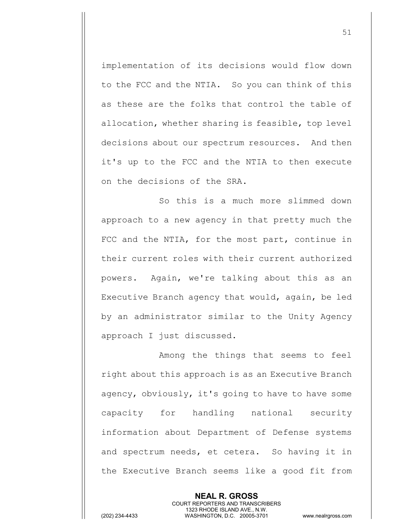implementation of its decisions would flow down to the FCC and the NTIA. So you can think of this as these are the folks that control the table of allocation, whether sharing is feasible, top level decisions about our spectrum resources. And then it's up to the FCC and the NTIA to then execute on the decisions of the SRA.

So this is a much more slimmed down approach to a new agency in that pretty much the FCC and the NTIA, for the most part, continue in their current roles with their current authorized powers. Again, we're talking about this as an Executive Branch agency that would, again, be led by an administrator similar to the Unity Agency approach I just discussed.

Among the things that seems to feel right about this approach is as an Executive Branch agency, obviously, it's going to have to have some capacity for handling national security information about Department of Defense systems and spectrum needs, et cetera. So having it in the Executive Branch seems like a good fit from

> **NEAL R. GROSS** COURT REPORTERS AND TRANSCRIBERS 1323 RHODE ISLAND AVE., N.W.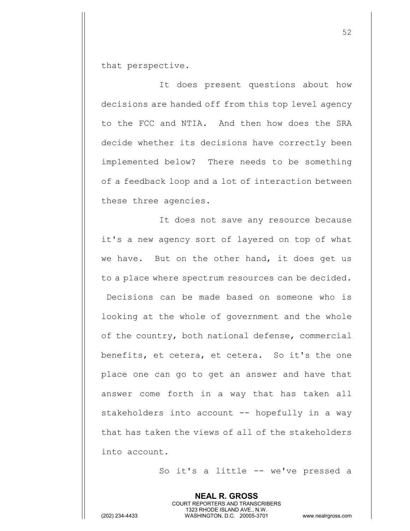that perspective.

It does present questions about how decisions are handed off from this top level agency to the FCC and NTIA. And then how does the SRA decide whether its decisions have correctly been implemented below? There needs to be something of a feedback loop and a lot of interaction between these three agencies.

It does not save any resource because it's a new agency sort of layered on top of what we have. But on the other hand, it does get us to a place where spectrum resources can be decided. Decisions can be made based on someone who is looking at the whole of government and the whole of the country, both national defense, commercial benefits, et cetera, et cetera. So it's the one place one can go to get an answer and have that answer come forth in a way that has taken all stakeholders into account -- hopefully in a way that has taken the views of all of the stakeholders into account.

> **NEAL R. GROSS** COURT REPORTERS AND TRANSCRIBERS 1323 RHODE ISLAND AVE., N.W.

So it's a little -- we've pressed a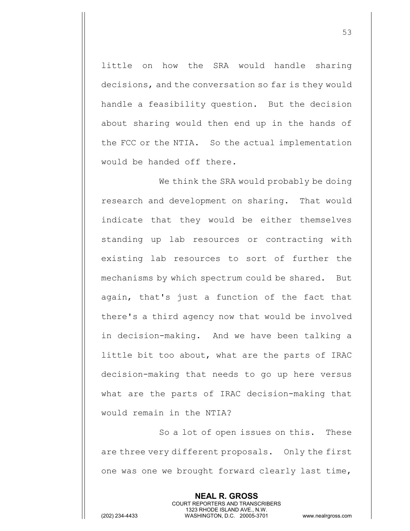little on how the SRA would handle sharing decisions, and the conversation so far is they would handle a feasibility question. But the decision about sharing would then end up in the hands of the FCC or the NTIA. So the actual implementation would be handed off there.

We think the SRA would probably be doing research and development on sharing. That would indicate that they would be either themselves standing up lab resources or contracting with existing lab resources to sort of further the mechanisms by which spectrum could be shared. But again, that's just a function of the fact that there's a third agency now that would be involved in decision-making. And we have been talking a little bit too about, what are the parts of IRAC decision-making that needs to go up here versus what are the parts of IRAC decision-making that would remain in the NTIA?

So a lot of open issues on this. These are three very different proposals. Only the first one was one we brought forward clearly last time,

> **NEAL R. GROSS** COURT REPORTERS AND TRANSCRIBERS 1323 RHODE ISLAND AVE., N.W.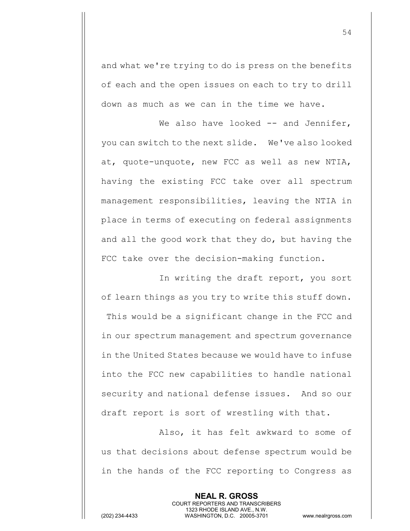and what we're trying to do is press on the benefits of each and the open issues on each to try to drill down as much as we can in the time we have.

We also have looked  $-$  and Jennifer, you can switch to the next slide. We've also looked at, quote-unquote, new FCC as well as new NTIA, having the existing FCC take over all spectrum management responsibilities, leaving the NTIA in place in terms of executing on federal assignments and all the good work that they do, but having the FCC take over the decision-making function.

In writing the draft report, you sort of learn things as you try to write this stuff down. This would be a significant change in the FCC and in our spectrum management and spectrum governance in the United States because we would have to infuse into the FCC new capabilities to handle national security and national defense issues. And so our draft report is sort of wrestling with that.

Also, it has felt awkward to some of us that decisions about defense spectrum would be in the hands of the FCC reporting to Congress as

> **NEAL R. GROSS** COURT REPORTERS AND TRANSCRIBERS 1323 RHODE ISLAND AVE., N.W.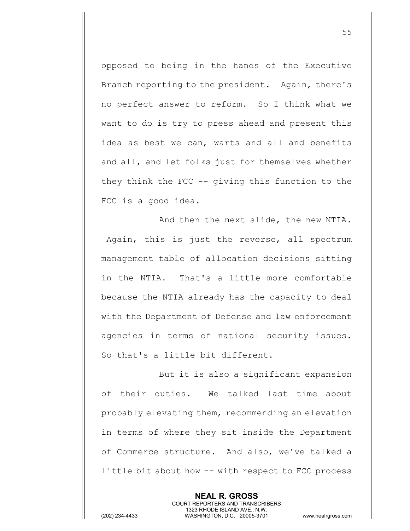opposed to being in the hands of the Executive Branch reporting to the president. Again, there's no perfect answer to reform. So I think what we want to do is try to press ahead and present this idea as best we can, warts and all and benefits and all, and let folks just for themselves whether they think the FCC -- giving this function to the FCC is a good idea.

And then the next slide, the new NTIA. Again, this is just the reverse, all spectrum management table of allocation decisions sitting in the NTIA. That's a little more comfortable because the NTIA already has the capacity to deal with the Department of Defense and law enforcement agencies in terms of national security issues. So that's a little bit different.

But it is also a significant expansion of their duties. We talked last time about probably elevating them, recommending an elevation in terms of where they sit inside the Department of Commerce structure. And also, we've talked a little bit about how -- with respect to FCC process

> **NEAL R. GROSS** COURT REPORTERS AND TRANSCRIBERS 1323 RHODE ISLAND AVE., N.W.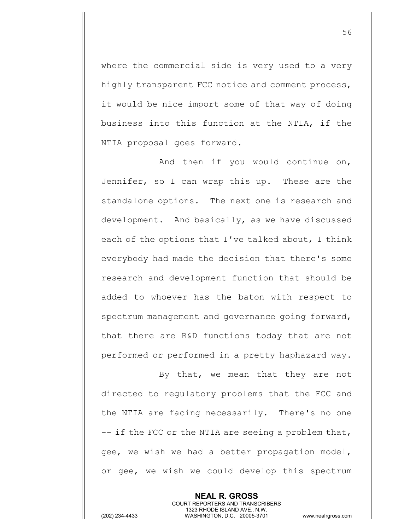where the commercial side is very used to a very highly transparent FCC notice and comment process, it would be nice import some of that way of doing business into this function at the NTIA, if the NTIA proposal goes forward.

And then if you would continue on, Jennifer, so I can wrap this up. These are the standalone options. The next one is research and development. And basically, as we have discussed each of the options that I've talked about, I think everybody had made the decision that there's some research and development function that should be added to whoever has the baton with respect to spectrum management and governance going forward, that there are R&D functions today that are not performed or performed in a pretty haphazard way.

By that, we mean that they are not directed to regulatory problems that the FCC and the NTIA are facing necessarily. There's no one -- if the FCC or the NTIA are seeing a problem that, gee, we wish we had a better propagation model, or gee, we wish we could develop this spectrum

> **NEAL R. GROSS** COURT REPORTERS AND TRANSCRIBERS 1323 RHODE ISLAND AVE., N.W.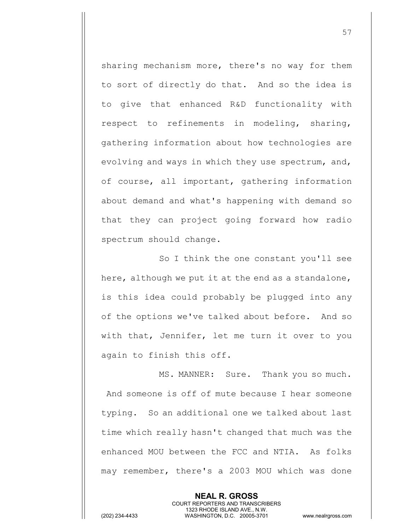sharing mechanism more, there's no way for them to sort of directly do that. And so the idea is to give that enhanced R&D functionality with respect to refinements in modeling, sharing, gathering information about how technologies are evolving and ways in which they use spectrum, and, of course, all important, gathering information about demand and what's happening with demand so that they can project going forward how radio spectrum should change.

So I think the one constant you'll see here, although we put it at the end as a standalone, is this idea could probably be plugged into any of the options we've talked about before. And so with that, Jennifer, let me turn it over to you again to finish this off.

MS. MANNER: Sure. Thank you so much. And someone is off of mute because I hear someone typing. So an additional one we talked about last time which really hasn't changed that much was the enhanced MOU between the FCC and NTIA. As folks may remember, there's a 2003 MOU which was done

> **NEAL R. GROSS** COURT REPORTERS AND TRANSCRIBERS 1323 RHODE ISLAND AVE., N.W.

(202) 234-4433 WASHINGTON, D.C. 20005-3701 www.nealrgross.com

57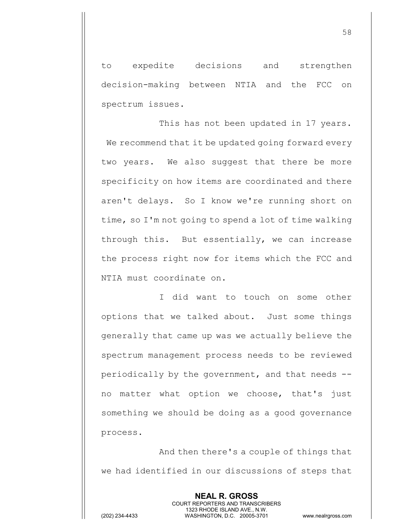to expedite decisions and strengthen decision-making between NTIA and the FCC on spectrum issues.

This has not been updated in 17 years. We recommend that it be updated going forward every two years. We also suggest that there be more specificity on how items are coordinated and there aren't delays. So I know we're running short on time, so I'm not going to spend a lot of time walking through this. But essentially, we can increase the process right now for items which the FCC and NTIA must coordinate on.

I did want to touch on some other options that we talked about. Just some things generally that came up was we actually believe the spectrum management process needs to be reviewed periodically by the government, and that needs - no matter what option we choose, that's just something we should be doing as a good governance process.

And then there's a couple of things that we had identified in our discussions of steps that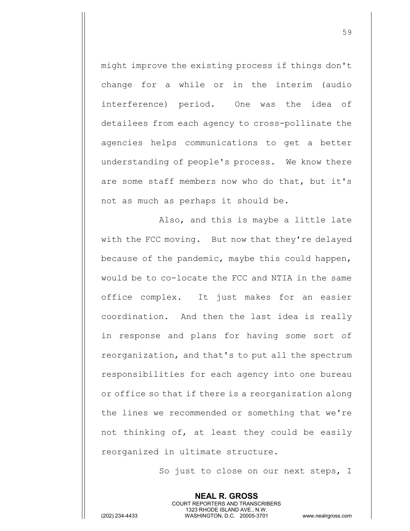might improve the existing process if things don't change for a while or in the interim (audio interference) period. One was the idea of detailees from each agency to cross-pollinate the agencies helps communications to get a better understanding of people's process. We know there are some staff members now who do that, but it's not as much as perhaps it should be.

Also, and this is maybe a little late with the FCC moving. But now that they're delayed because of the pandemic, maybe this could happen, would be to co-locate the FCC and NTIA in the same office complex. It just makes for an easier coordination. And then the last idea is really in response and plans for having some sort of reorganization, and that's to put all the spectrum responsibilities for each agency into one bureau or office so that if there is a reorganization along the lines we recommended or something that we're not thinking of, at least they could be easily reorganized in ultimate structure.

> **NEAL R. GROSS** COURT REPORTERS AND TRANSCRIBERS 1323 RHODE ISLAND AVE., N.W.

So just to close on our next steps, I

(202) 234-4433 WASHINGTON, D.C. 20005-3701 www.nealrgross.com

59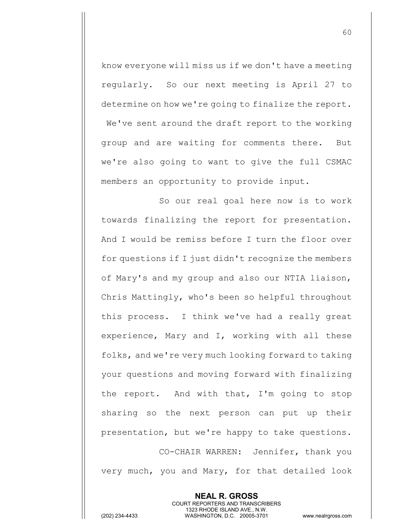know everyone will miss us if we don't have a meeting regularly. So our next meeting is April 27 to determine on how we're going to finalize the report. We've sent around the draft report to the working group and are waiting for comments there. But we're also going to want to give the full CSMAC members an opportunity to provide input.

So our real goal here now is to work towards finalizing the report for presentation. And I would be remiss before I turn the floor over for questions if I just didn't recognize the members of Mary's and my group and also our NTIA liaison, Chris Mattingly, who's been so helpful throughout this process. I think we've had a really great experience, Mary and I, working with all these folks, and we're very much looking forward to taking your questions and moving forward with finalizing the report. And with that, I'm going to stop sharing so the next person can put up their presentation, but we're happy to take questions. CO-CHAIR WARREN: Jennifer, thank you

very much, you and Mary, for that detailed look

**NEAL R. GROSS** COURT REPORTERS AND TRANSCRIBERS 1323 RHODE ISLAND AVE., N.W.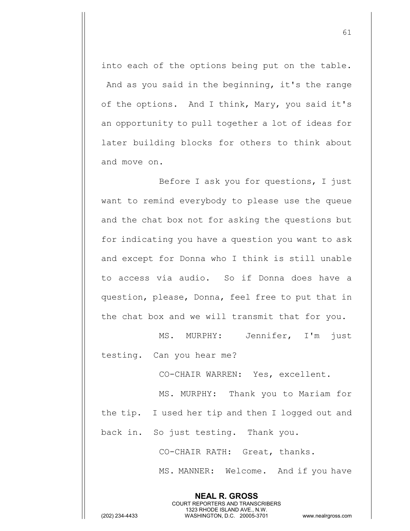into each of the options being put on the table. And as you said in the beginning, it's the range of the options. And I think, Mary, you said it's an opportunity to pull together a lot of ideas for later building blocks for others to think about and move on.

Before I ask you for questions, I just want to remind everybody to please use the queue and the chat box not for asking the questions but for indicating you have a question you want to ask and except for Donna who I think is still unable to access via audio. So if Donna does have a question, please, Donna, feel free to put that in the chat box and we will transmit that for you.

MS. MURPHY: Jennifer, I'm just testing. Can you hear me?

CO-CHAIR WARREN: Yes, excellent.

MS. MURPHY: Thank you to Mariam for the tip. I used her tip and then I logged out and

back in. So just testing. Thank you.

CO-CHAIR RATH: Great, thanks.

**NEAL R. GROSS** COURT REPORTERS AND TRANSCRIBERS 1323 RHODE ISLAND AVE., N.W.

MS. MANNER: Welcome. And if you have

(202) 234-4433 WASHINGTON, D.C. 20005-3701 www.nealrgross.com

61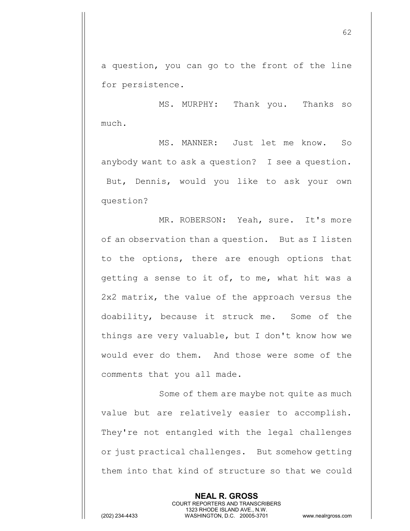a question, you can go to the front of the line for persistence.

MS. MURPHY: Thank you. Thanks so much.

MS. MANNER: Just let me know. So anybody want to ask a question? I see a question. But, Dennis, would you like to ask your own question?

MR. ROBERSON: Yeah, sure. It's more of an observation than a question. But as I listen to the options, there are enough options that getting a sense to it of, to me, what hit was a 2x2 matrix, the value of the approach versus the doability, because it struck me. Some of the things are very valuable, but I don't know how we would ever do them. And those were some of the comments that you all made.

Some of them are maybe not quite as much value but are relatively easier to accomplish. They're not entangled with the legal challenges or just practical challenges. But somehow getting them into that kind of structure so that we could

> **NEAL R. GROSS** COURT REPORTERS AND TRANSCRIBERS 1323 RHODE ISLAND AVE., N.W.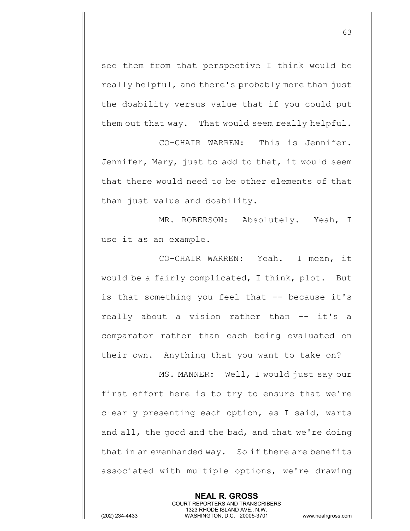see them from that perspective I think would be really helpful, and there's probably more than just the doability versus value that if you could put them out that way. That would seem really helpful.

CO-CHAIR WARREN: This is Jennifer. Jennifer, Mary, just to add to that, it would seem that there would need to be other elements of that than just value and doability.

MR. ROBERSON: Absolutely. Yeah, I use it as an example.

CO-CHAIR WARREN: Yeah. I mean, it would be a fairly complicated, I think, plot. But is that something you feel that -- because it's really about a vision rather than -- it's a comparator rather than each being evaluated on their own. Anything that you want to take on?

MS. MANNER: Well, I would just say our first effort here is to try to ensure that we're clearly presenting each option, as I said, warts and all, the good and the bad, and that we're doing that in an evenhanded way. So if there are benefits associated with multiple options, we're drawing

> **NEAL R. GROSS** COURT REPORTERS AND TRANSCRIBERS 1323 RHODE ISLAND AVE., N.W.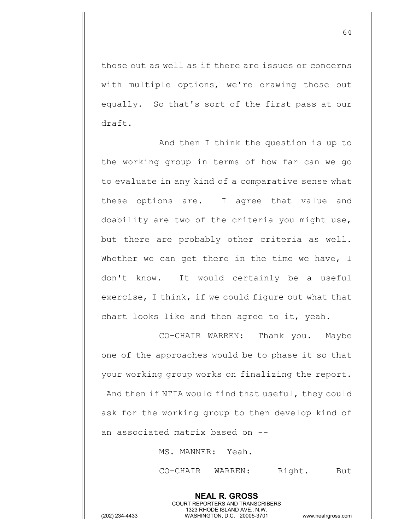those out as well as if there are issues or concerns with multiple options, we're drawing those out equally. So that's sort of the first pass at our draft.

And then I think the question is up to the working group in terms of how far can we go to evaluate in any kind of a comparative sense what these options are. I agree that value and doability are two of the criteria you might use, but there are probably other criteria as well. Whether we can get there in the time we have, I don't know. It would certainly be a useful exercise, I think, if we could figure out what that chart looks like and then agree to it, yeah.

CO-CHAIR WARREN: Thank you. Maybe one of the approaches would be to phase it so that your working group works on finalizing the report. And then if NTIA would find that useful, they could ask for the working group to then develop kind of an associated matrix based on --

> **NEAL R. GROSS** COURT REPORTERS AND TRANSCRIBERS 1323 RHODE ISLAND AVE., N.W.

MS. MANNER: Yeah.

CO-CHAIR WARREN: Right. But

64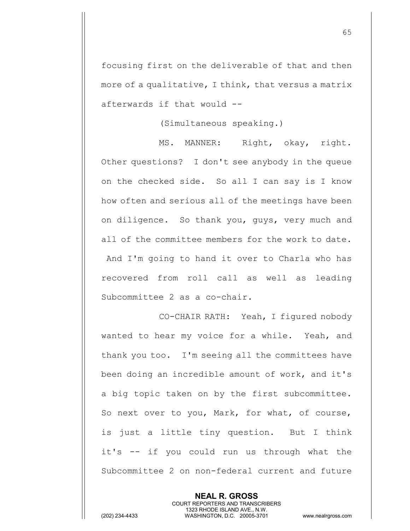focusing first on the deliverable of that and then more of a qualitative, I think, that versus a matrix afterwards if that would --

(Simultaneous speaking.)

MS. MANNER: Right, okay, right. Other questions? I don't see anybody in the queue on the checked side. So all I can say is I know how often and serious all of the meetings have been on diligence. So thank you, guys, very much and all of the committee members for the work to date. And I'm going to hand it over to Charla who has recovered from roll call as well as leading Subcommittee 2 as a co-chair.

CO-CHAIR RATH: Yeah, I figured nobody wanted to hear my voice for a while. Yeah, and thank you too. I'm seeing all the committees have been doing an incredible amount of work, and it's a big topic taken on by the first subcommittee. So next over to you, Mark, for what, of course, is just a little tiny question. But I think it's -- if you could run us through what the Subcommittee 2 on non-federal current and future

> **NEAL R. GROSS** COURT REPORTERS AND TRANSCRIBERS 1323 RHODE ISLAND AVE., N.W.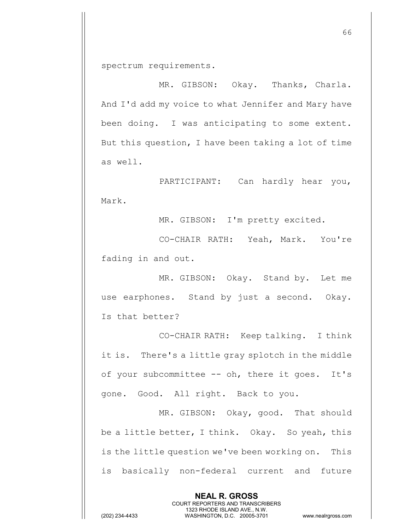spectrum requirements.

MR. GIBSON: Okay. Thanks, Charla. And I'd add my voice to what Jennifer and Mary have been doing. I was anticipating to some extent. But this question, I have been taking a lot of time as well.

PARTICIPANT: Can hardly hear you, Mark.

MR. GIBSON: I'm pretty excited.

CO-CHAIR RATH: Yeah, Mark. You're fading in and out.

MR. GIBSON: Okay. Stand by. Let me use earphones. Stand by just a second. Okay. Is that better?

CO-CHAIR RATH: Keep talking. I think it is. There's a little gray splotch in the middle of your subcommittee -- oh, there it goes. It's gone. Good. All right. Back to you.

MR. GIBSON: Okay, good. That should be a little better, I think. Okay. So yeah, this is the little question we've been working on. This is basically non-federal current and future

> **NEAL R. GROSS** COURT REPORTERS AND TRANSCRIBERS 1323 RHODE ISLAND AVE., N.W.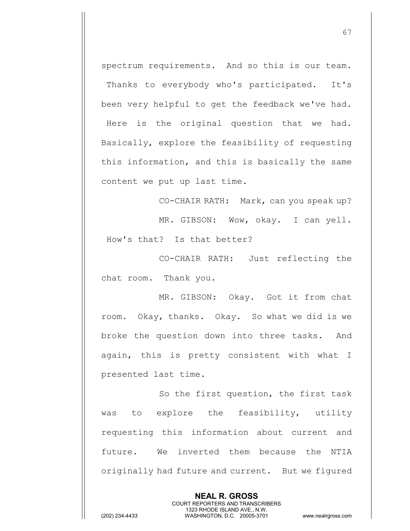spectrum requirements. And so this is our team. Thanks to everybody who's participated. It's been very helpful to get the feedback we've had. Here is the original question that we had. Basically, explore the feasibility of requesting this information, and this is basically the same content we put up last time.

CO-CHAIR RATH: Mark, can you speak up? MR. GIBSON: Wow, okay. I can yell. How's that? Is that better?

CO-CHAIR RATH: Just reflecting the chat room. Thank you.

MR. GIBSON: Okay. Got it from chat room. Okay, thanks. Okay. So what we did is we broke the question down into three tasks. And again, this is pretty consistent with what I presented last time.

So the first question, the first task was to explore the feasibility, utility requesting this information about current and future. We inverted them because the NTIA originally had future and current. But we figured

> **NEAL R. GROSS** COURT REPORTERS AND TRANSCRIBERS 1323 RHODE ISLAND AVE., N.W.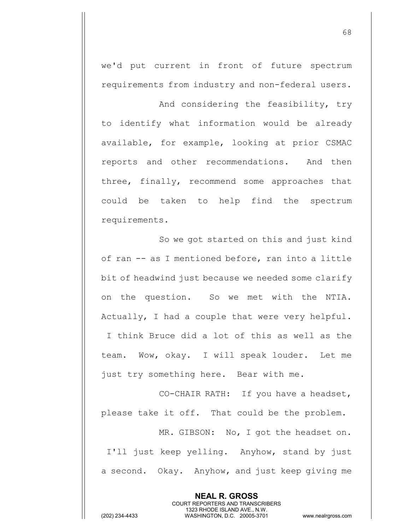we'd put current in front of future spectrum requirements from industry and non-federal users.

And considering the feasibility, try to identify what information would be already available, for example, looking at prior CSMAC reports and other recommendations. And then three, finally, recommend some approaches that could be taken to help find the spectrum requirements.

So we got started on this and just kind of ran -- as I mentioned before, ran into a little bit of headwind just because we needed some clarify on the question. So we met with the NTIA. Actually, I had a couple that were very helpful. I think Bruce did a lot of this as well as the team. Wow, okay. I will speak louder. Let me just try something here. Bear with me.

CO-CHAIR RATH: If you have a headset, please take it off. That could be the problem.

MR. GIBSON: No, I got the headset on. I'll just keep yelling. Anyhow, stand by just a second. Okay. Anyhow, and just keep giving me

> **NEAL R. GROSS** COURT REPORTERS AND TRANSCRIBERS 1323 RHODE ISLAND AVE., N.W.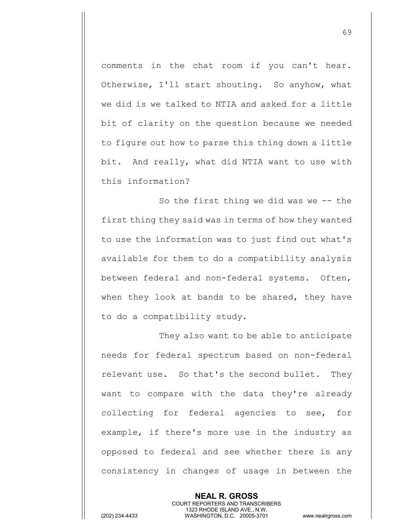comments in the chat room if you can't hear. Otherwise, I'll start shouting. So anyhow, what we did is we talked to NTIA and asked for a little bit of clarity on the question because we needed to figure out how to parse this thing down a little bit. And really, what did NTIA want to use with this information?

So the first thing we did was we -- the first thing they said was in terms of how they wanted to use the information was to just find out what's available for them to do a compatibility analysis between federal and non-federal systems. Often, when they look at bands to be shared, they have to do a compatibility study.

They also want to be able to anticipate needs for federal spectrum based on non-federal relevant use. So that's the second bullet. They want to compare with the data they're already collecting for federal agencies to see, for example, if there's more use in the industry as opposed to federal and see whether there is any consistency in changes of usage in between the

> **NEAL R. GROSS** COURT REPORTERS AND TRANSCRIBERS 1323 RHODE ISLAND AVE., N.W.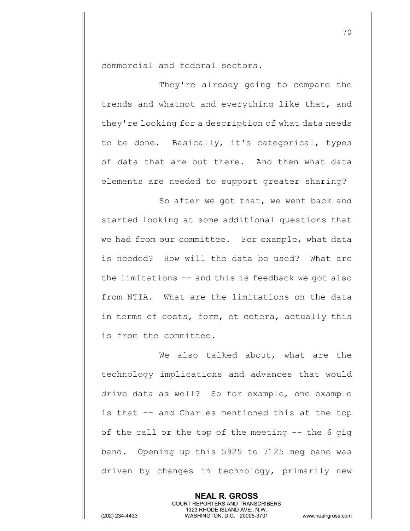commercial and federal sectors.

They're already going to compare the trends and whatnot and everything like that, and they're looking for a description of what data needs to be done. Basically, it's categorical, types of data that are out there. And then what data elements are needed to support greater sharing?

So after we got that, we went back and started looking at some additional questions that we had from our committee. For example, what data is needed? How will the data be used? What are the limitations -- and this is feedback we got also from NTIA. What are the limitations on the data in terms of costs, form, et cetera, actually this is from the committee.

We also talked about, what are the technology implications and advances that would drive data as well? So for example, one example is that -- and Charles mentioned this at the top of the call or the top of the meeting -- the 6 gig band. Opening up this 5925 to 7125 meg band was driven by changes in technology, primarily new

> **NEAL R. GROSS** COURT REPORTERS AND TRANSCRIBERS 1323 RHODE ISLAND AVE., N.W.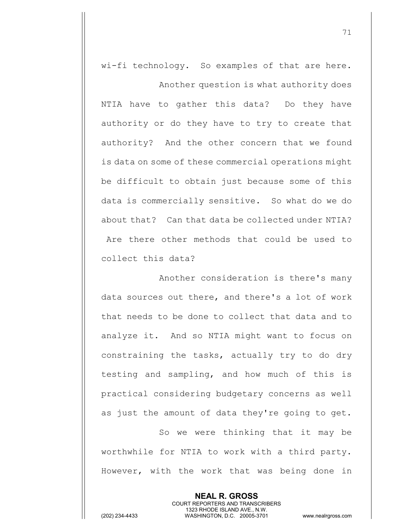wi-fi technology. So examples of that are here.

Another question is what authority does NTIA have to gather this data? Do they have authority or do they have to try to create that authority? And the other concern that we found is data on some of these commercial operations might be difficult to obtain just because some of this data is commercially sensitive. So what do we do about that? Can that data be collected under NTIA? Are there other methods that could be used to collect this data?

Another consideration is there's many data sources out there, and there's a lot of work that needs to be done to collect that data and to analyze it. And so NTIA might want to focus on constraining the tasks, actually try to do dry testing and sampling, and how much of this is practical considering budgetary concerns as well as just the amount of data they're going to get.

So we were thinking that it may be worthwhile for NTIA to work with a third party. However, with the work that was being done in

> **NEAL R. GROSS** COURT REPORTERS AND TRANSCRIBERS 1323 RHODE ISLAND AVE., N.W.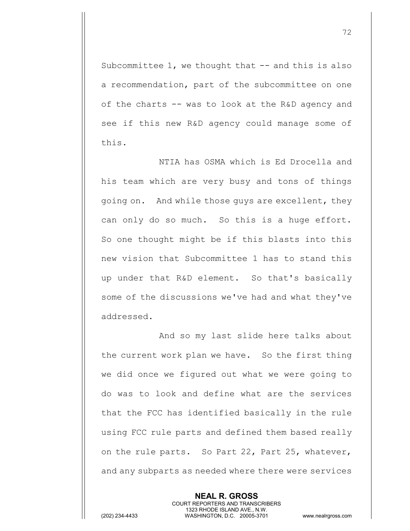Subcommittee  $1$ , we thought that  $-$  and this is also a recommendation, part of the subcommittee on one of the charts -- was to look at the R&D agency and see if this new R&D agency could manage some of this.

NTIA has OSMA which is Ed Drocella and his team which are very busy and tons of things going on. And while those guys are excellent, they can only do so much. So this is a huge effort. So one thought might be if this blasts into this new vision that Subcommittee 1 has to stand this up under that R&D element. So that's basically some of the discussions we've had and what they've addressed.

And so my last slide here talks about the current work plan we have. So the first thing we did once we figured out what we were going to do was to look and define what are the services that the FCC has identified basically in the rule using FCC rule parts and defined them based really on the rule parts. So Part 22, Part 25, whatever, and any subparts as needed where there were services

> **NEAL R. GROSS** COURT REPORTERS AND TRANSCRIBERS 1323 RHODE ISLAND AVE., N.W.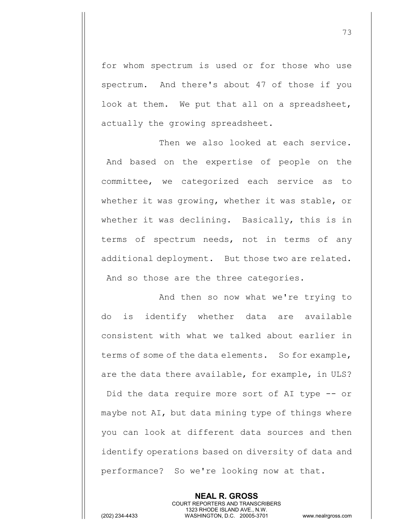for whom spectrum is used or for those who use spectrum. And there's about 47 of those if you look at them. We put that all on a spreadsheet, actually the growing spreadsheet.

Then we also looked at each service. And based on the expertise of people on the committee, we categorized each service as to whether it was growing, whether it was stable, or whether it was declining. Basically, this is in terms of spectrum needs, not in terms of any additional deployment. But those two are related. And so those are the three categories.

And then so now what we're trying to do is identify whether data are available consistent with what we talked about earlier in terms of some of the data elements. So for example, are the data there available, for example, in ULS? Did the data require more sort of AI type -- or maybe not AI, but data mining type of things where you can look at different data sources and then identify operations based on diversity of data and performance? So we're looking now at that.

> **NEAL R. GROSS** COURT REPORTERS AND TRANSCRIBERS 1323 RHODE ISLAND AVE., N.W.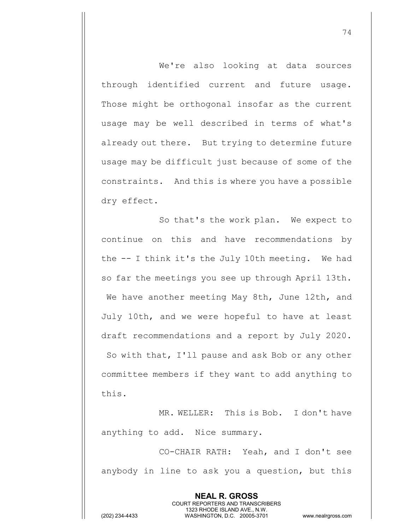We're also looking at data sources through identified current and future usage. Those might be orthogonal insofar as the current usage may be well described in terms of what's already out there. But trying to determine future usage may be difficult just because of some of the constraints. And this is where you have a possible dry effect.

So that's the work plan. We expect to continue on this and have recommendations by the -- I think it's the July 10th meeting. We had so far the meetings you see up through April 13th. We have another meeting May 8th, June 12th, and July 10th, and we were hopeful to have at least draft recommendations and a report by July 2020. So with that, I'll pause and ask Bob or any other committee members if they want to add anything to this.

MR. WELLER: This is Bob. I don't have anything to add. Nice summary.

CO-CHAIR RATH: Yeah, and I don't see anybody in line to ask you a question, but this

> **NEAL R. GROSS** COURT REPORTERS AND TRANSCRIBERS 1323 RHODE ISLAND AVE., N.W.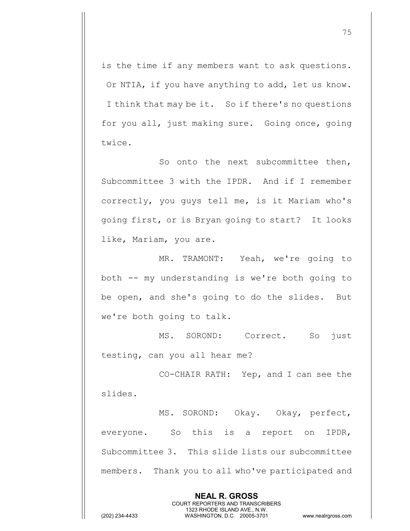is the time if any members want to ask questions. Or NTIA, if you have anything to add, let us know. I think that may be it. So if there's no questions for you all, just making sure. Going once, going twice.

So onto the next subcommittee then, Subcommittee 3 with the IPDR. And if I remember correctly, you guys tell me, is it Mariam who's going first, or is Bryan going to start? It looks like, Mariam, you are.

MR. TRAMONT: Yeah, we're going to both -- my understanding is we're both going to be open, and she's going to do the slides. But we're both going to talk.

MS. SOROND: Correct. So just testing, can you all hear me?

CO-CHAIR RATH: Yep, and I can see the slides.

MS. SOROND: Okay. Okay, perfect, everyone. So this is a report on IPDR, Subcommittee 3. This slide lists our subcommittee members. Thank you to all who've participated and

> **NEAL R. GROSS** COURT REPORTERS AND TRANSCRIBERS 1323 RHODE ISLAND AVE., N.W.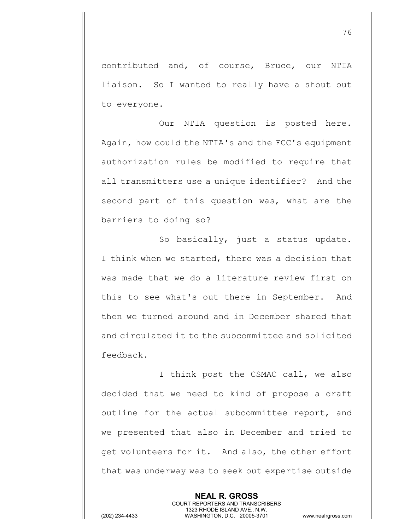contributed and, of course, Bruce, our NTIA liaison. So I wanted to really have a shout out to everyone.

Our NTIA question is posted here. Again, how could the NTIA's and the FCC's equipment authorization rules be modified to require that all transmitters use a unique identifier? And the second part of this question was, what are the barriers to doing so?

So basically, just a status update. I think when we started, there was a decision that was made that we do a literature review first on this to see what's out there in September. And then we turned around and in December shared that and circulated it to the subcommittee and solicited feedback.

I think post the CSMAC call, we also decided that we need to kind of propose a draft outline for the actual subcommittee report, and we presented that also in December and tried to get volunteers for it. And also, the other effort that was underway was to seek out expertise outside

> **NEAL R. GROSS** COURT REPORTERS AND TRANSCRIBERS 1323 RHODE ISLAND AVE., N.W.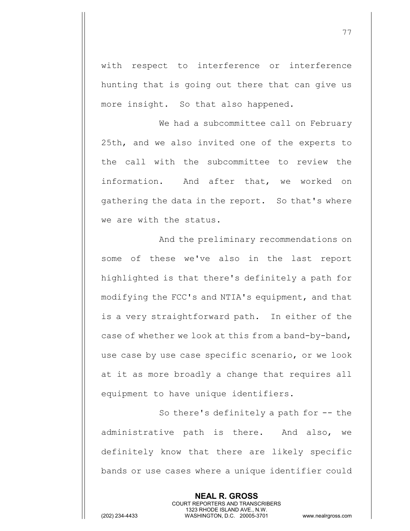with respect to interference or interference hunting that is going out there that can give us more insight. So that also happened.

We had a subcommittee call on February 25th, and we also invited one of the experts to the call with the subcommittee to review the information. And after that, we worked on gathering the data in the report. So that's where we are with the status.

And the preliminary recommendations on some of these we've also in the last report highlighted is that there's definitely a path for modifying the FCC's and NTIA's equipment, and that is a very straightforward path. In either of the case of whether we look at this from a band-by-band, use case by use case specific scenario, or we look at it as more broadly a change that requires all equipment to have unique identifiers.

So there's definitely a path for -- the administrative path is there. And also, we definitely know that there are likely specific bands or use cases where a unique identifier could

> **NEAL R. GROSS** COURT REPORTERS AND TRANSCRIBERS 1323 RHODE ISLAND AVE., N.W.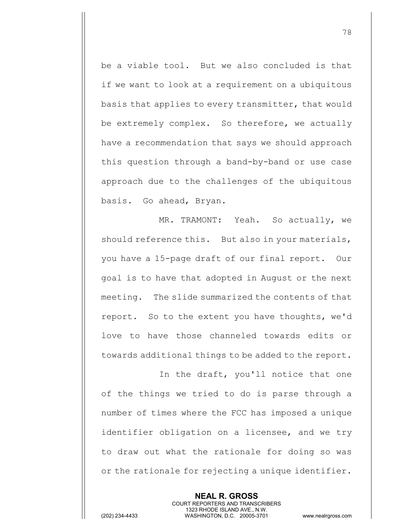be a viable tool. But we also concluded is that if we want to look at a requirement on a ubiquitous basis that applies to every transmitter, that would be extremely complex. So therefore, we actually have a recommendation that says we should approach this question through a band-by-band or use case approach due to the challenges of the ubiquitous basis. Go ahead, Bryan.

MR. TRAMONT: Yeah. So actually, we should reference this. But also in your materials, you have a 15-page draft of our final report. Our goal is to have that adopted in August or the next meeting. The slide summarized the contents of that report. So to the extent you have thoughts, we'd love to have those channeled towards edits or towards additional things to be added to the report.

In the draft, you'll notice that one of the things we tried to do is parse through a number of times where the FCC has imposed a unique identifier obligation on a licensee, and we try to draw out what the rationale for doing so was or the rationale for rejecting a unique identifier.

> **NEAL R. GROSS** COURT REPORTERS AND TRANSCRIBERS 1323 RHODE ISLAND AVE., N.W.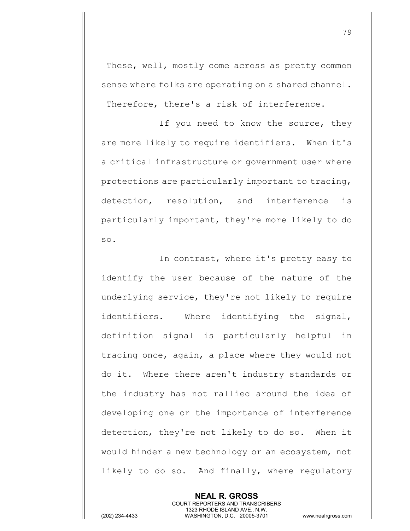These, well, mostly come across as pretty common sense where folks are operating on a shared channel. Therefore, there's a risk of interference.

If you need to know the source, they are more likely to require identifiers. When it's a critical infrastructure or government user where protections are particularly important to tracing, detection, resolution, and interference is particularly important, they're more likely to do so.

In contrast, where it's pretty easy to identify the user because of the nature of the underlying service, they're not likely to require identifiers. Where identifying the signal, definition signal is particularly helpful in tracing once, again, a place where they would not do it. Where there aren't industry standards or the industry has not rallied around the idea of developing one or the importance of interference detection, they're not likely to do so. When it would hinder a new technology or an ecosystem, not likely to do so. And finally, where regulatory

> **NEAL R. GROSS** COURT REPORTERS AND TRANSCRIBERS 1323 RHODE ISLAND AVE., N.W.

(202) 234-4433 WASHINGTON, D.C. 20005-3701 www.nealrgross.com

79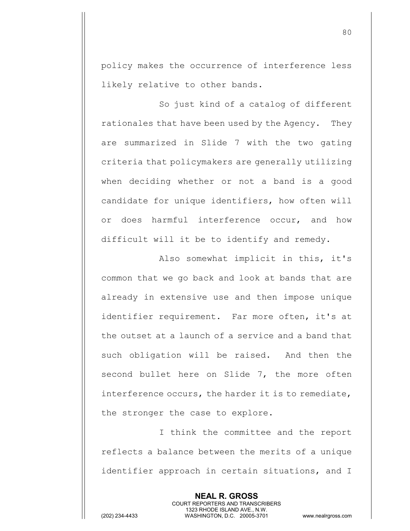policy makes the occurrence of interference less likely relative to other bands.

So just kind of a catalog of different rationales that have been used by the Agency. They are summarized in Slide 7 with the two gating criteria that policymakers are generally utilizing when deciding whether or not a band is a good candidate for unique identifiers, how often will or does harmful interference occur, and how difficult will it be to identify and remedy.

Also somewhat implicit in this, it's common that we go back and look at bands that are already in extensive use and then impose unique identifier requirement. Far more often, it's at the outset at a launch of a service and a band that such obligation will be raised. And then the second bullet here on Slide 7, the more often interference occurs, the harder it is to remediate, the stronger the case to explore.

I think the committee and the report reflects a balance between the merits of a unique identifier approach in certain situations, and I

> **NEAL R. GROSS** COURT REPORTERS AND TRANSCRIBERS 1323 RHODE ISLAND AVE., N.W.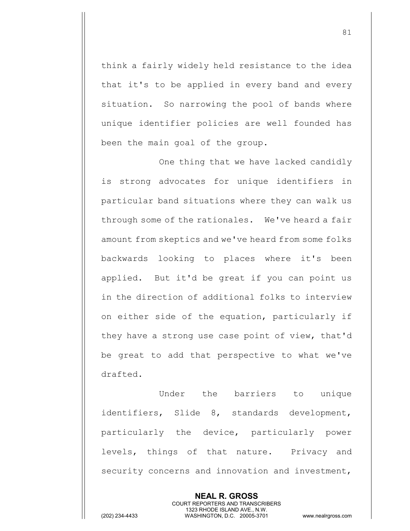think a fairly widely held resistance to the idea that it's to be applied in every band and every situation. So narrowing the pool of bands where unique identifier policies are well founded has been the main goal of the group.

One thing that we have lacked candidly is strong advocates for unique identifiers in particular band situations where they can walk us through some of the rationales. We've heard a fair amount from skeptics and we've heard from some folks backwards looking to places where it's been applied. But it'd be great if you can point us in the direction of additional folks to interview on either side of the equation, particularly if they have a strong use case point of view, that'd be great to add that perspective to what we've drafted.

Under the barriers to unique identifiers, Slide 8, standards development, particularly the device, particularly power levels, things of that nature. Privacy and security concerns and innovation and investment,

> **NEAL R. GROSS** COURT REPORTERS AND TRANSCRIBERS 1323 RHODE ISLAND AVE., N.W.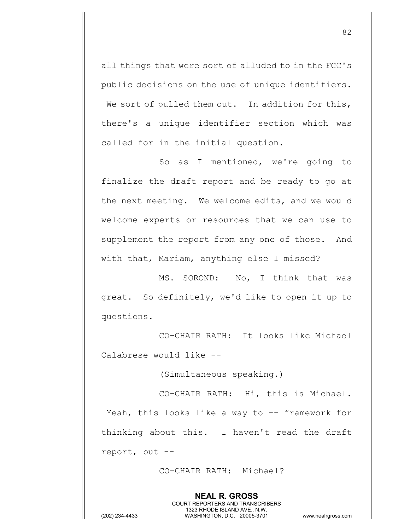all things that were sort of alluded to in the FCC's public decisions on the use of unique identifiers. We sort of pulled them out. In addition for this, there's a unique identifier section which was called for in the initial question.

So as I mentioned, we're going to finalize the draft report and be ready to go at the next meeting. We welcome edits, and we would welcome experts or resources that we can use to supplement the report from any one of those. And with that, Mariam, anything else I missed?

MS. SOROND: No, I think that was great. So definitely, we'd like to open it up to questions.

CO-CHAIR RATH: It looks like Michael Calabrese would like --

(Simultaneous speaking.)

CO-CHAIR RATH: Hi, this is Michael. Yeah, this looks like a way to -- framework for thinking about this. I haven't read the draft report, but --

CO-CHAIR RATH: Michael?

1323 RHODE ISLAND AVE., N.W.

**NEAL R. GROSS** COURT REPORTERS AND TRANSCRIBERS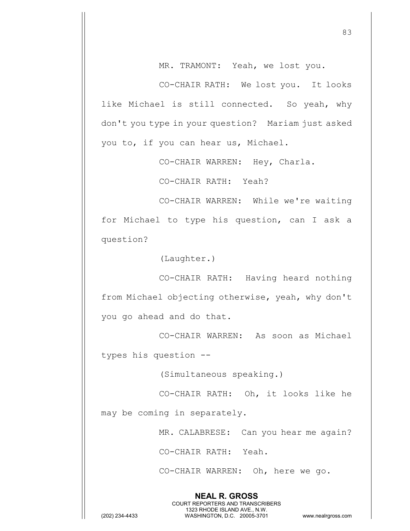MR. TRAMONT: Yeah, we lost you.

CO-CHAIR RATH: We lost you. It looks like Michael is still connected. So yeah, why don't you type in your question? Mariam just asked you to, if you can hear us, Michael.

CO-CHAIR WARREN: Hey, Charla.

CO-CHAIR RATH: Yeah?

CO-CHAIR WARREN: While we're waiting for Michael to type his question, can I ask a question?

(Laughter.)

CO-CHAIR RATH: Having heard nothing from Michael objecting otherwise, yeah, why don't you go ahead and do that.

CO-CHAIR WARREN: As soon as Michael types his question --

(Simultaneous speaking.)

CO-CHAIR RATH: Oh, it looks like he

may be coming in separately.

MR. CALABRESE: Can you hear me again?

CO-CHAIR RATH: Yeah.

**NEAL R. GROSS** COURT REPORTERS AND TRANSCRIBERS 1323 RHODE ISLAND AVE., N.W.

CO-CHAIR WARREN: Oh, here we go.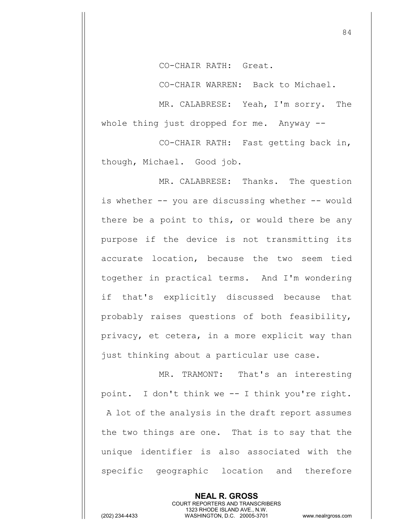CO-CHAIR RATH: Great.

CO-CHAIR WARREN: Back to Michael.

MR. CALABRESE: Yeah, I'm sorry. The whole thing just dropped for me. Anyway --

CO-CHAIR RATH: Fast getting back in, though, Michael. Good job.

MR. CALABRESE: Thanks. The question is whether -- you are discussing whether -- would there be a point to this, or would there be any purpose if the device is not transmitting its accurate location, because the two seem tied together in practical terms. And I'm wondering if that's explicitly discussed because that probably raises questions of both feasibility, privacy, et cetera, in a more explicit way than just thinking about a particular use case.

MR. TRAMONT: That's an interesting point. I don't think we -- I think you're right. A lot of the analysis in the draft report assumes the two things are one. That is to say that the unique identifier is also associated with the specific geographic location and therefore

> **NEAL R. GROSS** COURT REPORTERS AND TRANSCRIBERS 1323 RHODE ISLAND AVE., N.W.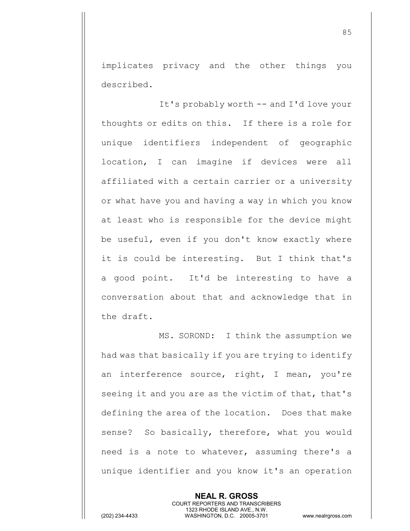implicates privacy and the other things you described.

It's probably worth -- and I'd love your thoughts or edits on this. If there is a role for unique identifiers independent of geographic location, I can imagine if devices were all affiliated with a certain carrier or a university or what have you and having a way in which you know at least who is responsible for the device might be useful, even if you don't know exactly where it is could be interesting. But I think that's a good point. It'd be interesting to have a conversation about that and acknowledge that in the draft.

MS. SOROND: I think the assumption we had was that basically if you are trying to identify an interference source, right, I mean, you're seeing it and you are as the victim of that, that's defining the area of the location. Does that make sense? So basically, therefore, what you would need is a note to whatever, assuming there's a unique identifier and you know it's an operation

> **NEAL R. GROSS** COURT REPORTERS AND TRANSCRIBERS 1323 RHODE ISLAND AVE., N.W.

(202) 234-4433 WASHINGTON, D.C. 20005-3701 www.nealrgross.com

85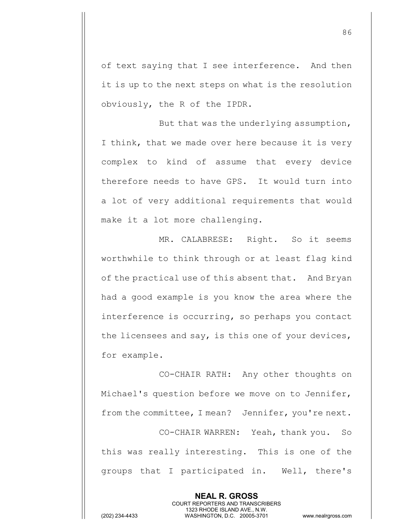of text saying that I see interference. And then it is up to the next steps on what is the resolution obviously, the R of the IPDR.

But that was the underlying assumption, I think, that we made over here because it is very complex to kind of assume that every device therefore needs to have GPS. It would turn into a lot of very additional requirements that would make it a lot more challenging.

MR. CALABRESE: Right. So it seems worthwhile to think through or at least flag kind of the practical use of this absent that. And Bryan had a good example is you know the area where the interference is occurring, so perhaps you contact the licensees and say, is this one of your devices, for example.

CO-CHAIR RATH: Any other thoughts on Michael's question before we move on to Jennifer, from the committee, I mean? Jennifer, you're next.

CO-CHAIR WARREN: Yeah, thank you. So this was really interesting. This is one of the groups that I participated in. Well, there's

> **NEAL R. GROSS** COURT REPORTERS AND TRANSCRIBERS 1323 RHODE ISLAND AVE., N.W.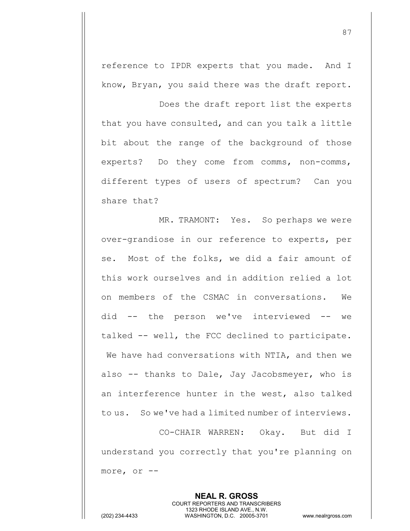reference to IPDR experts that you made. And I know, Bryan, you said there was the draft report.

Does the draft report list the experts that you have consulted, and can you talk a little bit about the range of the background of those experts? Do they come from comms, non-comms, different types of users of spectrum? Can you share that?

MR. TRAMONT: Yes. So perhaps we were over-grandiose in our reference to experts, per se. Most of the folks, we did a fair amount of this work ourselves and in addition relied a lot on members of the CSMAC in conversations. We did -- the person we've interviewed -- we talked -- well, the FCC declined to participate. We have had conversations with NTIA, and then we also -- thanks to Dale, Jay Jacobsmeyer, who is an interference hunter in the west, also talked to us. So we've had a limited number of interviews.

CO-CHAIR WARREN: Okay. But did I understand you correctly that you're planning on more, or --

> **NEAL R. GROSS** COURT REPORTERS AND TRANSCRIBERS 1323 RHODE ISLAND AVE., N.W.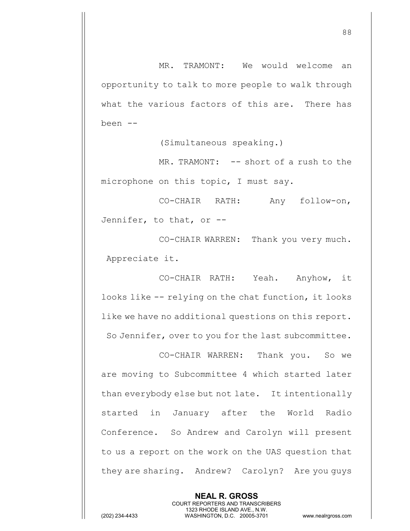MR. TRAMONT: We would welcome an opportunity to talk to more people to walk through what the various factors of this are. There has been --

(Simultaneous speaking.)

MR. TRAMONT: -- short of a rush to the microphone on this topic, I must say.

CO-CHAIR RATH: Any follow-on, Jennifer, to that, or --

CO-CHAIR WARREN: Thank you very much. Appreciate it.

CO-CHAIR RATH: Yeah. Anyhow, it looks like -- relying on the chat function, it looks like we have no additional questions on this report. So Jennifer, over to you for the last subcommittee.

CO-CHAIR WARREN: Thank you. So we are moving to Subcommittee 4 which started later than everybody else but not late. It intentionally started in January after the World Radio Conference. So Andrew and Carolyn will present to us a report on the work on the UAS question that they are sharing. Andrew? Carolyn? Are you guys

> **NEAL R. GROSS** COURT REPORTERS AND TRANSCRIBERS 1323 RHODE ISLAND AVE., N.W.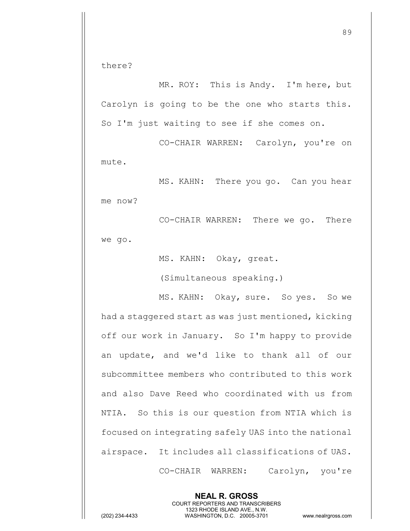there?

MR. ROY: This is Andy. I'm here, but Carolyn is going to be the one who starts this. So I'm just waiting to see if she comes on.

CO-CHAIR WARREN: Carolyn, you're on mute.

MS. KAHN: There you go. Can you hear me now?

CO-CHAIR WARREN: There we go. There we go.

MS. KAHN: Okay, great.

(Simultaneous speaking.)

MS. KAHN: Okay, sure. So yes. So we had a staggered start as was just mentioned, kicking off our work in January. So I'm happy to provide an update, and we'd like to thank all of our subcommittee members who contributed to this work and also Dave Reed who coordinated with us from NTIA. So this is our question from NTIA which is focused on integrating safely UAS into the national airspace. It includes all classifications of UAS. CO-CHAIR WARREN: Carolyn, you're

**NEAL R. GROSS** COURT REPORTERS AND TRANSCRIBERS 1323 RHODE ISLAND AVE., N.W. (202) 234-4433 WASHINGTON, D.C. 20005-3701 www.nealrgross.com

89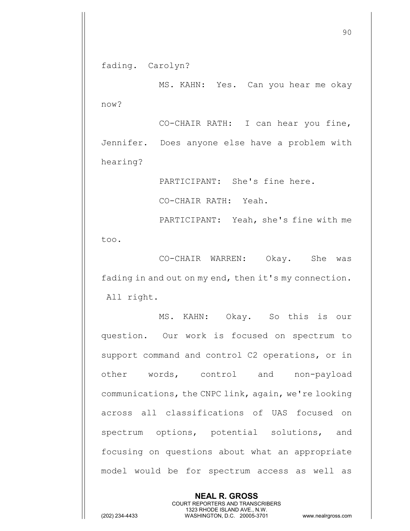fading. Carolyn?

MS. KAHN: Yes. Can you hear me okay now?

CO-CHAIR RATH: I can hear you fine, Jennifer. Does anyone else have a problem with hearing?

PARTICIPANT: She's fine here.

CO-CHAIR RATH: Yeah.

PARTICIPANT: Yeah, she's fine with me

too.

CO-CHAIR WARREN: Okay. She was fading in and out on my end, then it's my connection. All right.

MS. KAHN: Okay. So this is our question. Our work is focused on spectrum to support command and control C2 operations, or in other words, control and non-payload communications, the CNPC link, again, we're looking across all classifications of UAS focused on spectrum options, potential solutions, and focusing on questions about what an appropriate model would be for spectrum access as well as

> **NEAL R. GROSS** COURT REPORTERS AND TRANSCRIBERS 1323 RHODE ISLAND AVE., N.W.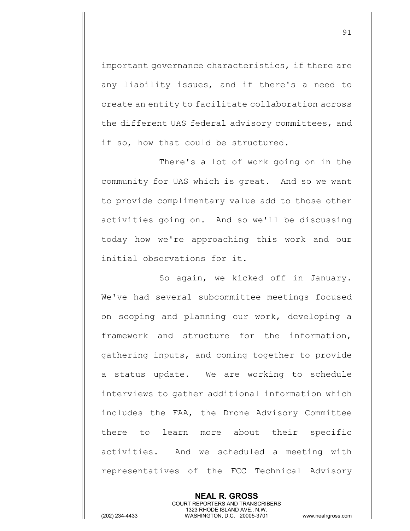important governance characteristics, if there are any liability issues, and if there's a need to create an entity to facilitate collaboration across the different UAS federal advisory committees, and if so, how that could be structured.

There's a lot of work going on in the community for UAS which is great. And so we want to provide complimentary value add to those other activities going on. And so we'll be discussing today how we're approaching this work and our initial observations for it.

So again, we kicked off in January. We've had several subcommittee meetings focused on scoping and planning our work, developing a framework and structure for the information, gathering inputs, and coming together to provide a status update. We are working to schedule interviews to gather additional information which includes the FAA, the Drone Advisory Committee there to learn more about their specific activities. And we scheduled a meeting with representatives of the FCC Technical Advisory

> **NEAL R. GROSS** COURT REPORTERS AND TRANSCRIBERS 1323 RHODE ISLAND AVE., N.W.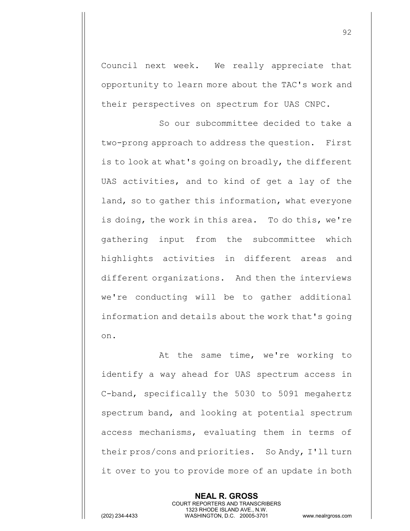Council next week. We really appreciate that opportunity to learn more about the TAC's work and their perspectives on spectrum for UAS CNPC.

So our subcommittee decided to take a two-prong approach to address the question. First is to look at what's going on broadly, the different UAS activities, and to kind of get a lay of the land, so to gather this information, what everyone is doing, the work in this area. To do this, we're gathering input from the subcommittee which highlights activities in different areas and different organizations. And then the interviews we're conducting will be to gather additional information and details about the work that's going on.

At the same time, we're working to identify a way ahead for UAS spectrum access in C-band, specifically the 5030 to 5091 megahertz spectrum band, and looking at potential spectrum access mechanisms, evaluating them in terms of their pros/cons and priorities. So Andy, I'll turn it over to you to provide more of an update in both

> **NEAL R. GROSS** COURT REPORTERS AND TRANSCRIBERS 1323 RHODE ISLAND AVE., N.W.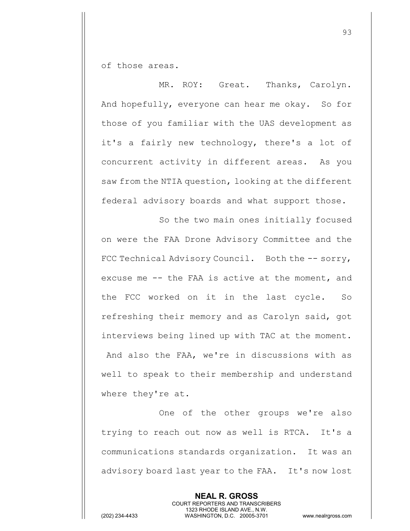of those areas.

MR. ROY: Great. Thanks, Carolyn. And hopefully, everyone can hear me okay. So for those of you familiar with the UAS development as it's a fairly new technology, there's a lot of concurrent activity in different areas. As you saw from the NTIA question, looking at the different federal advisory boards and what support those.

So the two main ones initially focused on were the FAA Drone Advisory Committee and the FCC Technical Advisory Council. Both the -- sorry, excuse me -- the FAA is active at the moment, and the FCC worked on it in the last cycle. So refreshing their memory and as Carolyn said, got interviews being lined up with TAC at the moment. And also the FAA, we're in discussions with as well to speak to their membership and understand where they're at.

One of the other groups we're also trying to reach out now as well is RTCA. It's a communications standards organization. It was an advisory board last year to the FAA. It's now lost

> **NEAL R. GROSS** COURT REPORTERS AND TRANSCRIBERS 1323 RHODE ISLAND AVE., N.W.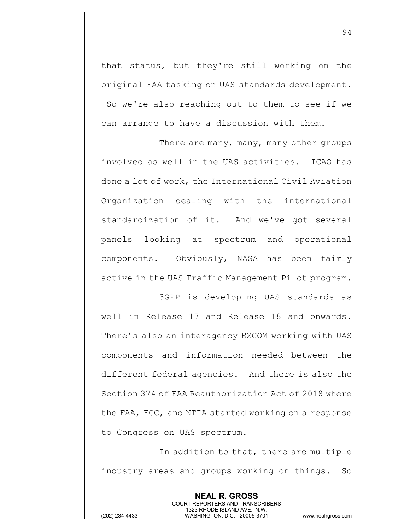that status, but they're still working on the original FAA tasking on UAS standards development. So we're also reaching out to them to see if we can arrange to have a discussion with them.

There are many, many, many other groups involved as well in the UAS activities. ICAO has done a lot of work, the International Civil Aviation Organization dealing with the international standardization of it. And we've got several panels looking at spectrum and operational components. Obviously, NASA has been fairly active in the UAS Traffic Management Pilot program.

3GPP is developing UAS standards as well in Release 17 and Release 18 and onwards. There's also an interagency EXCOM working with UAS components and information needed between the different federal agencies. And there is also the Section 374 of FAA Reauthorization Act of 2018 where the FAA, FCC, and NTIA started working on a response to Congress on UAS spectrum.

In addition to that, there are multiple industry areas and groups working on things. So

**NEAL R. GROSS**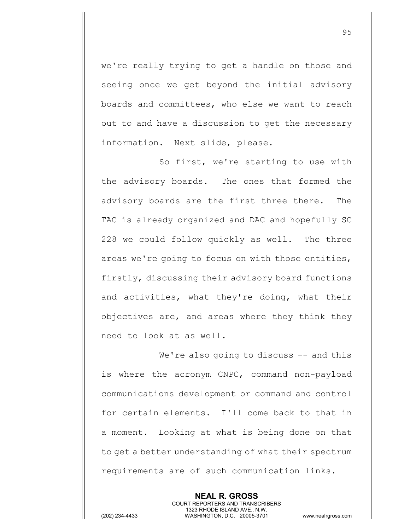we're really trying to get a handle on those and seeing once we get beyond the initial advisory boards and committees, who else we want to reach out to and have a discussion to get the necessary information. Next slide, please.

So first, we're starting to use with the advisory boards. The ones that formed the advisory boards are the first three there. The TAC is already organized and DAC and hopefully SC 228 we could follow quickly as well. The three areas we're going to focus on with those entities, firstly, discussing their advisory board functions and activities, what they're doing, what their objectives are, and areas where they think they need to look at as well.

We're also going to discuss -- and this is where the acronym CNPC, command non-payload communications development or command and control for certain elements. I'll come back to that in a moment. Looking at what is being done on that to get a better understanding of what their spectrum requirements are of such communication links.

> **NEAL R. GROSS** COURT REPORTERS AND TRANSCRIBERS 1323 RHODE ISLAND AVE., N.W.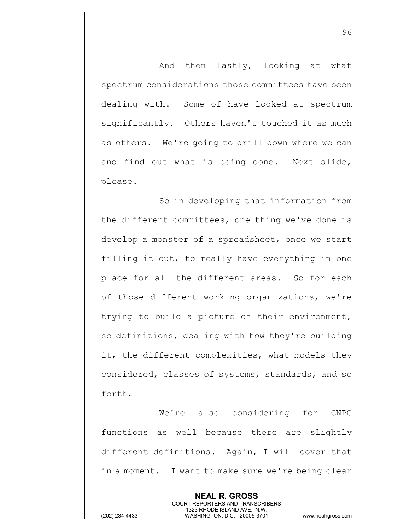And then lastly, looking at what spectrum considerations those committees have been dealing with. Some of have looked at spectrum significantly. Others haven't touched it as much as others. We're going to drill down where we can and find out what is being done. Next slide, please.

So in developing that information from the different committees, one thing we've done is develop a monster of a spreadsheet, once we start filling it out, to really have everything in one place for all the different areas. So for each of those different working organizations, we're trying to build a picture of their environment, so definitions, dealing with how they're building it, the different complexities, what models they considered, classes of systems, standards, and so forth.

We're also considering for CNPC functions as well because there are slightly different definitions. Again, I will cover that in a moment. I want to make sure we're being clear

> **NEAL R. GROSS** COURT REPORTERS AND TRANSCRIBERS 1323 RHODE ISLAND AVE., N.W.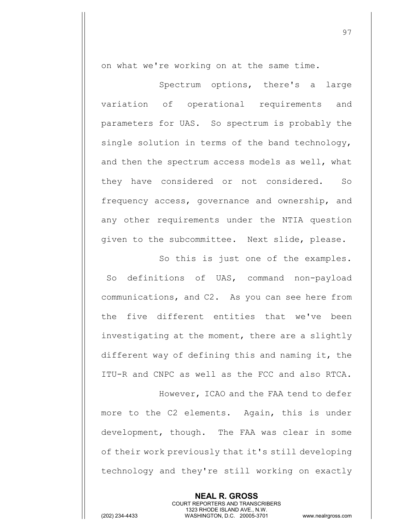on what we're working on at the same time.

Spectrum options, there's a large variation of operational requirements and parameters for UAS. So spectrum is probably the single solution in terms of the band technology, and then the spectrum access models as well, what they have considered or not considered. So frequency access, governance and ownership, and any other requirements under the NTIA question given to the subcommittee. Next slide, please.

So this is just one of the examples. So definitions of UAS, command non-payload communications, and C2. As you can see here from the five different entities that we've been investigating at the moment, there are a slightly different way of defining this and naming it, the ITU-R and CNPC as well as the FCC and also RTCA.

However, ICAO and the FAA tend to defer more to the C2 elements. Again, this is under development, though. The FAA was clear in some of their work previously that it's still developing technology and they're still working on exactly

> **NEAL R. GROSS** COURT REPORTERS AND TRANSCRIBERS 1323 RHODE ISLAND AVE., N.W.

(202) 234-4433 WASHINGTON, D.C. 20005-3701 www.nealrgross.com

97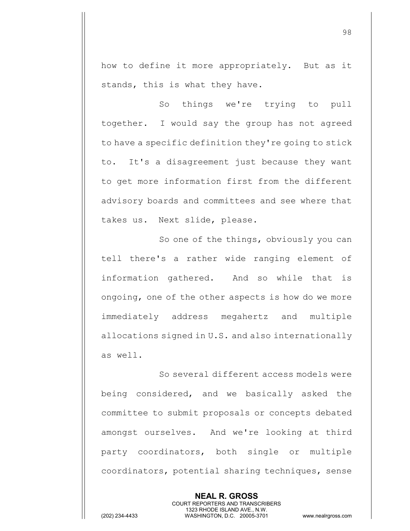how to define it more appropriately. But as it stands, this is what they have.

So things we're trying to pull together. I would say the group has not agreed to have a specific definition they're going to stick to. It's a disagreement just because they want to get more information first from the different advisory boards and committees and see where that takes us. Next slide, please.

So one of the things, obviously you can tell there's a rather wide ranging element of information gathered. And so while that is ongoing, one of the other aspects is how do we more immediately address megahertz and multiple allocations signed in U.S. and also internationally as well.

So several different access models were being considered, and we basically asked the committee to submit proposals or concepts debated amongst ourselves. And we're looking at third party coordinators, both single or multiple coordinators, potential sharing techniques, sense

> **NEAL R. GROSS** COURT REPORTERS AND TRANSCRIBERS 1323 RHODE ISLAND AVE., N.W.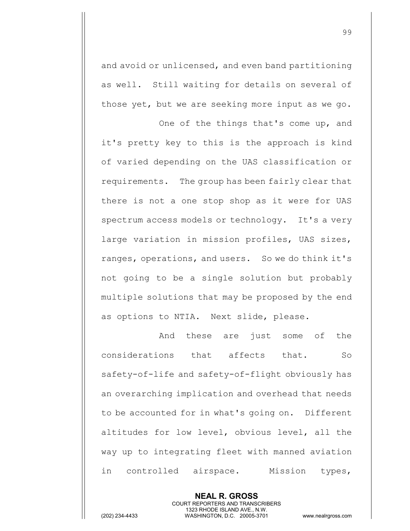and avoid or unlicensed, and even band partitioning as well. Still waiting for details on several of those yet, but we are seeking more input as we go.

One of the things that's come up, and it's pretty key to this is the approach is kind of varied depending on the UAS classification or requirements. The group has been fairly clear that there is not a one stop shop as it were for UAS spectrum access models or technology. It's a very large variation in mission profiles, UAS sizes, ranges, operations, and users. So we do think it's not going to be a single solution but probably multiple solutions that may be proposed by the end as options to NTIA. Next slide, please.

And these are just some of the considerations that affects that. So safety-of-life and safety-of-flight obviously has an overarching implication and overhead that needs to be accounted for in what's going on. Different altitudes for low level, obvious level, all the way up to integrating fleet with manned aviation in controlled airspace. Mission types,

> **NEAL R. GROSS** COURT REPORTERS AND TRANSCRIBERS 1323 RHODE ISLAND AVE., N.W.

(202) 234-4433 WASHINGTON, D.C. 20005-3701 www.nealrgross.com

99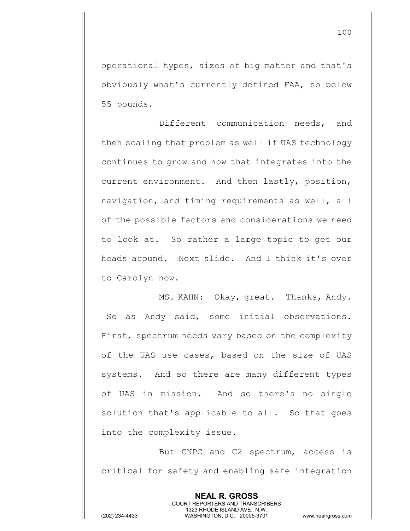operational types, sizes of big matter and that's obviously what's currently defined FAA, so below 55 pounds.

Different communication needs, and then scaling that problem as well if UAS technology continues to grow and how that integrates into the current environment. And then lastly, position, navigation, and timing requirements as well, all of the possible factors and considerations we need to look at. So rather a large topic to get our heads around. Next slide. And I think it's over to Carolyn now.

MS. KAHN: Okay, great. Thanks, Andy. So as Andy said, some initial observations. First, spectrum needs vary based on the complexity of the UAS use cases, based on the size of UAS systems. And so there are many different types of UAS in mission. And so there's no single solution that's applicable to all. So that goes into the complexity issue.

But CNPC and C2 spectrum, access is critical for safety and enabling safe integration

> **NEAL R. GROSS** COURT REPORTERS AND TRANSCRIBERS 1323 RHODE ISLAND AVE., N.W.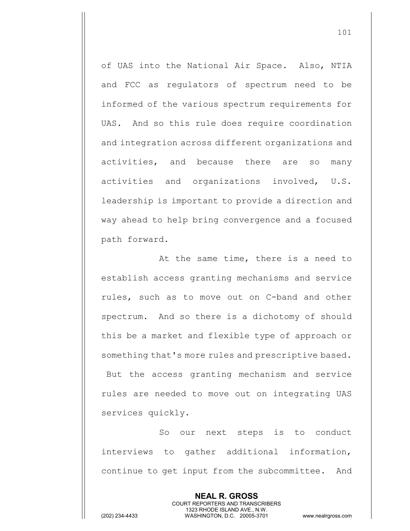of UAS into the National Air Space. Also, NTIA and FCC as regulators of spectrum need to be informed of the various spectrum requirements for UAS. And so this rule does require coordination and integration across different organizations and activities, and because there are so many activities and organizations involved, U.S. leadership is important to provide a direction and way ahead to help bring convergence and a focused path forward.

At the same time, there is a need to establish access granting mechanisms and service rules, such as to move out on C-band and other spectrum. And so there is a dichotomy of should this be a market and flexible type of approach or something that's more rules and prescriptive based. But the access granting mechanism and service

rules are needed to move out on integrating UAS services quickly.

So our next steps is to conduct interviews to gather additional information, continue to get input from the subcommittee. And

> **NEAL R. GROSS** COURT REPORTERS AND TRANSCRIBERS 1323 RHODE ISLAND AVE., N.W.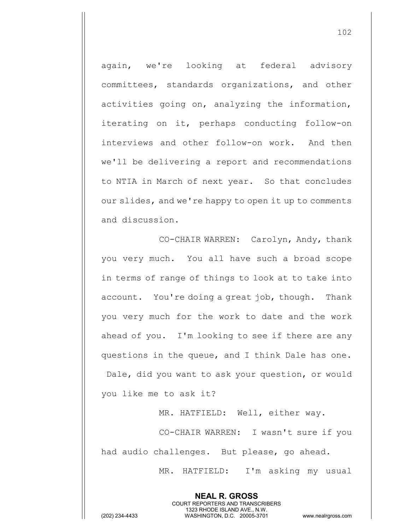again, we're looking at federal advisory committees, standards organizations, and other activities going on, analyzing the information, iterating on it, perhaps conducting follow-on interviews and other follow-on work. And then we'll be delivering a report and recommendations to NTIA in March of next year. So that concludes our slides, and we're happy to open it up to comments and discussion.

CO-CHAIR WARREN: Carolyn, Andy, thank you very much. You all have such a broad scope in terms of range of things to look at to take into account. You're doing a great job, though. Thank you very much for the work to date and the work ahead of you. I'm looking to see if there are any questions in the queue, and I think Dale has one. Dale, did you want to ask your question, or would you like me to ask it?

MR. HATFIELD: Well, either way.

CO-CHAIR WARREN: I wasn't sure if you had audio challenges. But please, go ahead.

> **NEAL R. GROSS** COURT REPORTERS AND TRANSCRIBERS 1323 RHODE ISLAND AVE., N.W.

MR. HATFIELD: I'm asking my usual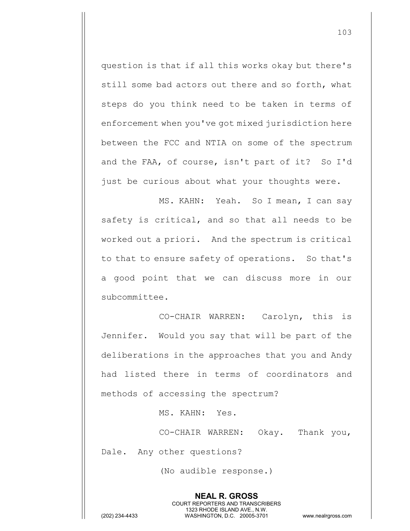question is that if all this works okay but there's still some bad actors out there and so forth, what steps do you think need to be taken in terms of enforcement when you've got mixed jurisdiction here between the FCC and NTIA on some of the spectrum and the FAA, of course, isn't part of it? So I'd just be curious about what your thoughts were.

MS. KAHN: Yeah. So I mean, I can say safety is critical, and so that all needs to be worked out a priori. And the spectrum is critical to that to ensure safety of operations. So that's a good point that we can discuss more in our subcommittee.

CO-CHAIR WARREN: Carolyn, this is Jennifer. Would you say that will be part of the deliberations in the approaches that you and Andy had listed there in terms of coordinators and methods of accessing the spectrum?

MS. KAHN: Yes.

CO-CHAIR WARREN: Okay. Thank you, Dale. Any other questions?

> **NEAL R. GROSS** COURT REPORTERS AND TRANSCRIBERS 1323 RHODE ISLAND AVE., N.W.

(No audible response.)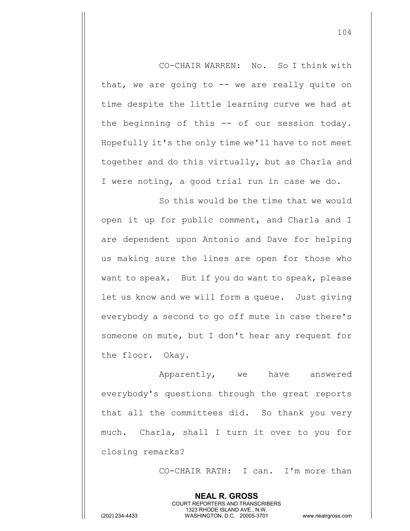CO-CHAIR WARREN: No. So I think with that, we are going to  $-$  we are really quite on time despite the little learning curve we had at the beginning of this -- of our session today. Hopefully it's the only time we'll have to not meet together and do this virtually, but as Charla and I were noting, a good trial run in case we do.

So this would be the time that we would open it up for public comment, and Charla and I are dependent upon Antonio and Dave for helping us making sure the lines are open for those who want to speak. But if you do want to speak, please let us know and we will form a queue. Just giving everybody a second to go off mute in case there's someone on mute, but I don't hear any request for the floor. Okay.

Apparently, we have answered everybody's questions through the great reports that all the committees did. So thank you very much. Charla, shall I turn it over to you for closing remarks?

> **NEAL R. GROSS** COURT REPORTERS AND TRANSCRIBERS 1323 RHODE ISLAND AVE., N.W.

CO-CHAIR RATH: I can. I'm more than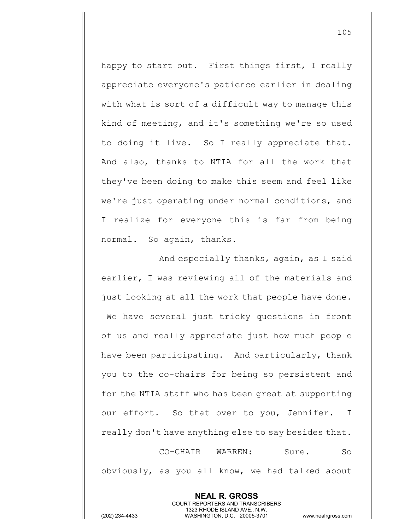happy to start out. First things first, I really appreciate everyone's patience earlier in dealing with what is sort of a difficult way to manage this kind of meeting, and it's something we're so used to doing it live. So I really appreciate that. And also, thanks to NTIA for all the work that they've been doing to make this seem and feel like we're just operating under normal conditions, and I realize for everyone this is far from being normal. So again, thanks.

And especially thanks, again, as I said earlier, I was reviewing all of the materials and just looking at all the work that people have done. We have several just tricky questions in front of us and really appreciate just how much people have been participating. And particularly, thank you to the co-chairs for being so persistent and for the NTIA staff who has been great at supporting our effort. So that over to you, Jennifer. I really don't have anything else to say besides that. CO-CHAIR WARREN: Sure. So

obviously, as you all know, we had talked about

**NEAL R. GROSS** COURT REPORTERS AND TRANSCRIBERS 1323 RHODE ISLAND AVE., N.W.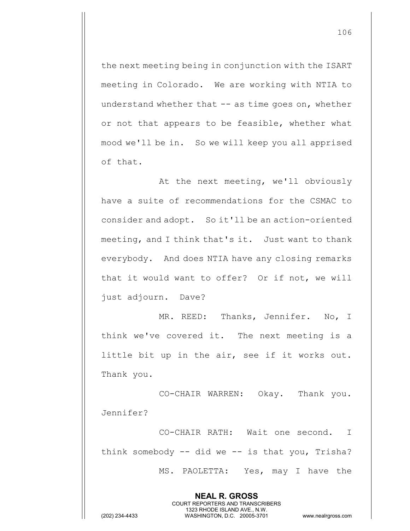the next meeting being in conjunction with the ISART meeting in Colorado. We are working with NTIA to understand whether that  $--$  as time goes on, whether or not that appears to be feasible, whether what mood we'll be in. So we will keep you all apprised of that.

At the next meeting, we'll obviously have a suite of recommendations for the CSMAC to consider and adopt. So it'll be an action-oriented meeting, and I think that's it. Just want to thank everybody. And does NTIA have any closing remarks that it would want to offer? Or if not, we will just adjourn. Dave?

MR. REED: Thanks, Jennifer. No, I think we've covered it. The next meeting is a little bit up in the air, see if it works out. Thank you.

CO-CHAIR WARREN: Okay. Thank you. Jennifer?

CO-CHAIR RATH: Wait one second. I think somebody  $-$ - did we  $-$  is that you, Trisha? MS. PAOLETTA: Yes, may I have the

> **NEAL R. GROSS** COURT REPORTERS AND TRANSCRIBERS 1323 RHODE ISLAND AVE., N.W.

106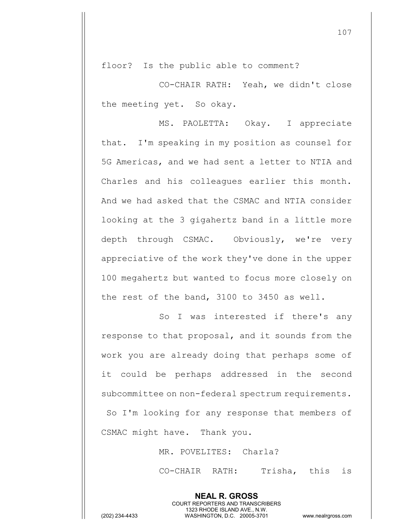floor? Is the public able to comment?

CO-CHAIR RATH: Yeah, we didn't close the meeting yet. So okay.

MS. PAOLETTA: Okay. I appreciate that. I'm speaking in my position as counsel for 5G Americas, and we had sent a letter to NTIA and Charles and his colleagues earlier this month. And we had asked that the CSMAC and NTIA consider looking at the 3 gigahertz band in a little more depth through CSMAC. Obviously, we're very appreciative of the work they've done in the upper 100 megahertz but wanted to focus more closely on the rest of the band, 3100 to 3450 as well.

So I was interested if there's any response to that proposal, and it sounds from the work you are already doing that perhaps some of it could be perhaps addressed in the second subcommittee on non-federal spectrum requirements. So I'm looking for any response that members of CSMAC might have. Thank you.

MR. POVELITES: Charla?

**NEAL R. GROSS** COURT REPORTERS AND TRANSCRIBERS 1323 RHODE ISLAND AVE., N.W.

CO-CHAIR RATH: Trisha, this is

107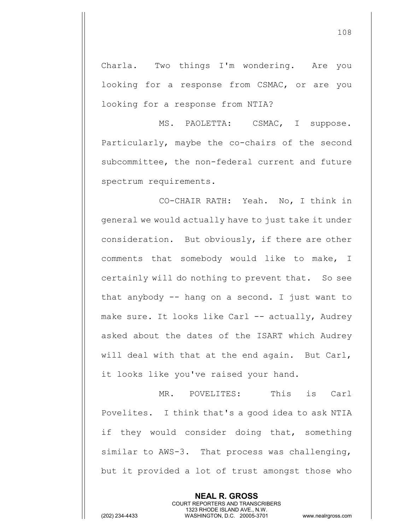Charla. Two things I'm wondering. Are you looking for a response from CSMAC, or are you looking for a response from NTIA?

MS. PAOLETTA: CSMAC, I suppose. Particularly, maybe the co-chairs of the second subcommittee, the non-federal current and future spectrum requirements.

CO-CHAIR RATH: Yeah. No, I think in general we would actually have to just take it under consideration. But obviously, if there are other comments that somebody would like to make, I certainly will do nothing to prevent that. So see that anybody  $-$ - hang on a second. I just want to make sure. It looks like Carl -- actually, Audrey asked about the dates of the ISART which Audrey will deal with that at the end again. But Carl, it looks like you've raised your hand.

MR. POVELITES: This is Carl Povelites. I think that's a good idea to ask NTIA if they would consider doing that, something similar to AWS-3. That process was challenging, but it provided a lot of trust amongst those who

> **NEAL R. GROSS** COURT REPORTERS AND TRANSCRIBERS 1323 RHODE ISLAND AVE., N.W.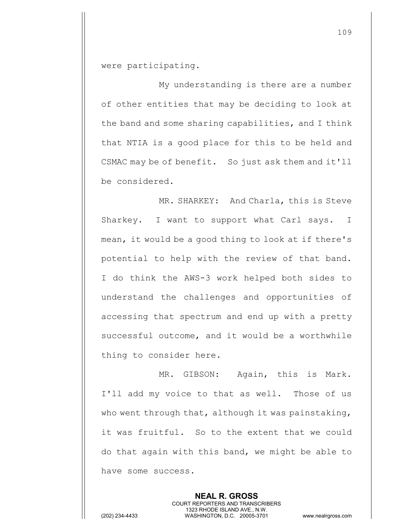were participating.

My understanding is there are a number of other entities that may be deciding to look at the band and some sharing capabilities, and I think that NTIA is a good place for this to be held and CSMAC may be of benefit. So just ask them and it'll be considered.

MR. SHARKEY: And Charla, this is Steve Sharkey. I want to support what Carl says. I mean, it would be a good thing to look at if there's potential to help with the review of that band. I do think the AWS-3 work helped both sides to understand the challenges and opportunities of accessing that spectrum and end up with a pretty successful outcome, and it would be a worthwhile thing to consider here.

MR. GIBSON: Again, this is Mark. I'll add my voice to that as well. Those of us who went through that, although it was painstaking, it was fruitful. So to the extent that we could do that again with this band, we might be able to have some success.

> **NEAL R. GROSS** COURT REPORTERS AND TRANSCRIBERS 1323 RHODE ISLAND AVE., N.W.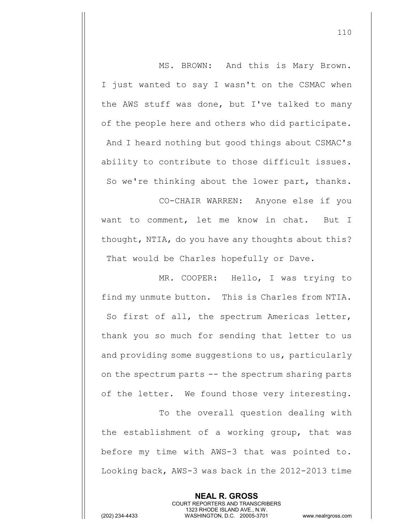MS. BROWN: And this is Mary Brown. I just wanted to say I wasn't on the CSMAC when the AWS stuff was done, but I've talked to many of the people here and others who did participate. And I heard nothing but good things about CSMAC's ability to contribute to those difficult issues. So we're thinking about the lower part, thanks.

CO-CHAIR WARREN: Anyone else if you want to comment, let me know in chat. But I thought, NTIA, do you have any thoughts about this? That would be Charles hopefully or Dave.

MR. COOPER: Hello, I was trying to find my unmute button. This is Charles from NTIA. So first of all, the spectrum Americas letter, thank you so much for sending that letter to us and providing some suggestions to us, particularly on the spectrum parts -- the spectrum sharing parts of the letter. We found those very interesting.

To the overall question dealing with the establishment of a working group, that was before my time with AWS-3 that was pointed to. Looking back, AWS-3 was back in the 2012-2013 time

> **NEAL R. GROSS** COURT REPORTERS AND TRANSCRIBERS 1323 RHODE ISLAND AVE., N.W.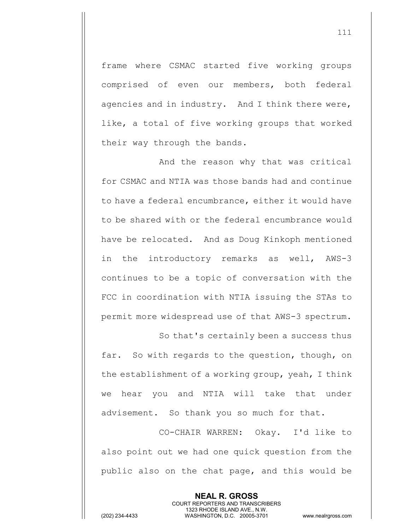frame where CSMAC started five working groups comprised of even our members, both federal agencies and in industry. And I think there were, like, a total of five working groups that worked their way through the bands.

And the reason why that was critical for CSMAC and NTIA was those bands had and continue to have a federal encumbrance, either it would have to be shared with or the federal encumbrance would have be relocated. And as Doug Kinkoph mentioned in the introductory remarks as well, AWS-3 continues to be a topic of conversation with the FCC in coordination with NTIA issuing the STAs to permit more widespread use of that AWS-3 spectrum.

So that's certainly been a success thus far. So with regards to the question, though, on the establishment of a working group, yeah, I think we hear you and NTIA will take that under advisement. So thank you so much for that.

CO-CHAIR WARREN: Okay. I'd like to also point out we had one quick question from the public also on the chat page, and this would be

> **NEAL R. GROSS** COURT REPORTERS AND TRANSCRIBERS 1323 RHODE ISLAND AVE., N.W.

(202) 234-4433 WASHINGTON, D.C. 20005-3701 www.nealrgross.com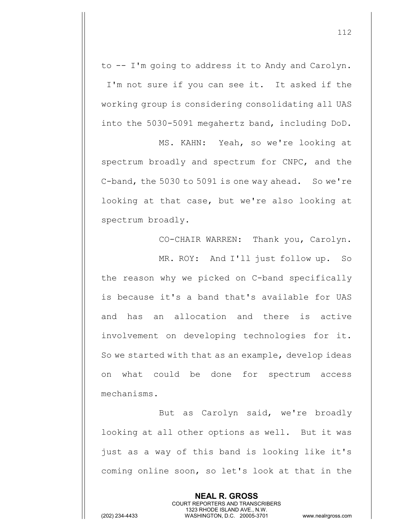to -- I'm going to address it to Andy and Carolyn. I'm not sure if you can see it. It asked if the working group is considering consolidating all UAS into the 5030-5091 megahertz band, including DoD.

MS. KAHN: Yeah, so we're looking at spectrum broadly and spectrum for CNPC, and the C-band, the 5030 to 5091 is one way ahead. So we're looking at that case, but we're also looking at spectrum broadly.

CO-CHAIR WARREN: Thank you, Carolyn. MR. ROY: And I'll just follow up. So the reason why we picked on C-band specifically is because it's a band that's available for UAS and has an allocation and there is active involvement on developing technologies for it. So we started with that as an example, develop ideas on what could be done for spectrum access mechanisms.

But as Carolyn said, we're broadly looking at all other options as well. But it was just as a way of this band is looking like it's coming online soon, so let's look at that in the

> **NEAL R. GROSS** COURT REPORTERS AND TRANSCRIBERS 1323 RHODE ISLAND AVE., N.W.

(202) 234-4433 WASHINGTON, D.C. 20005-3701 www.nealrgross.com